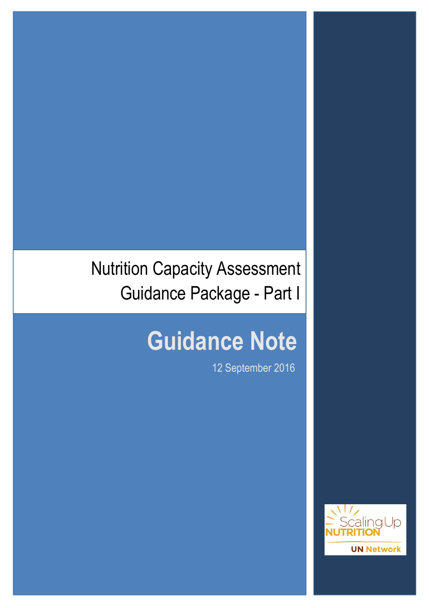## Nutrition Capacity Assessment Guidance Package - Part I

# **Guidance Note**

draft 1980 - Draft 1980 - Draft 1980 - Draft 1980 - Draft 1980 - Draft 1980 - Draft 1980 - Draft 1980 - Draft

12 September 2016

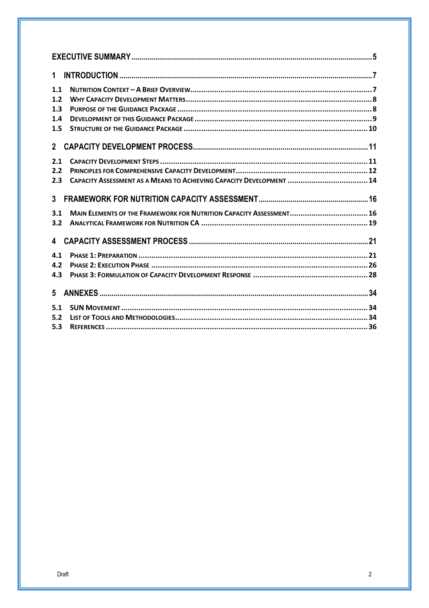| 1              |                                                                      |
|----------------|----------------------------------------------------------------------|
| 1.1            |                                                                      |
| 1.2            |                                                                      |
| 1.3            |                                                                      |
| 1.4            |                                                                      |
| 1.5            |                                                                      |
| $\overline{2}$ |                                                                      |
| 2.1            |                                                                      |
| 2.2            |                                                                      |
| 2.3            | CAPACITY ASSESSMENT AS A MEANS TO ACHIEVING CAPACITY DEVELOPMENT  14 |
| 3 <sup>1</sup> |                                                                      |
| 3.1            | MAIN ELEMENTS OF THE FRAMEWORK FOR NUTRITION CAPACITY ASSESSMENT 16  |
| 3.2            |                                                                      |
|                |                                                                      |
| 4.1            |                                                                      |
| 4.2            |                                                                      |
| 4.3            |                                                                      |
| $5 -$          |                                                                      |
| 5.1            |                                                                      |
| 5.2            |                                                                      |
| 5.3            |                                                                      |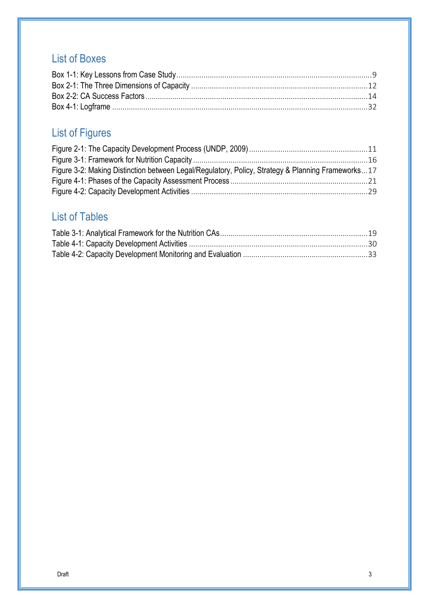## List of Boxes

## List of Figures

| Figure 3-2: Making Distinction between Legal/Regulatory, Policy, Strategy & Planning Frameworks17 |  |
|---------------------------------------------------------------------------------------------------|--|
|                                                                                                   |  |
|                                                                                                   |  |

## List of Tables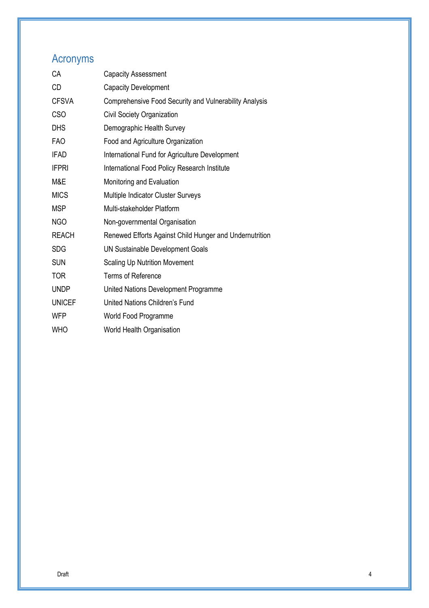## Acronyms

| <b>Capacity Assessment</b>                              |
|---------------------------------------------------------|
| <b>Capacity Development</b>                             |
| Comprehensive Food Security and Vulnerability Analysis  |
| Civil Society Organization                              |
| Demographic Health Survey                               |
| Food and Agriculture Organization                       |
| International Fund for Agriculture Development          |
| International Food Policy Research Institute            |
| Monitoring and Evaluation                               |
| Multiple Indicator Cluster Surveys                      |
| Multi-stakeholder Platform                              |
| Non-governmental Organisation                           |
| Renewed Efforts Against Child Hunger and Undernutrition |
| UN Sustainable Development Goals                        |
| <b>Scaling Up Nutrition Movement</b>                    |
| <b>Terms of Reference</b>                               |
| United Nations Development Programme                    |
| United Nations Children's Fund                          |
| World Food Programme                                    |
| World Health Organisation                               |
|                                                         |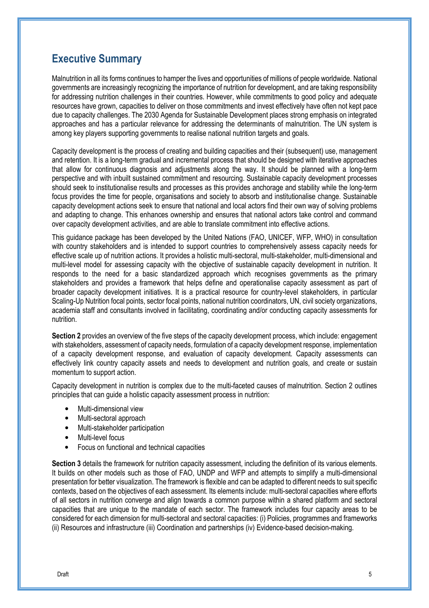## **Executive Summary**

Malnutrition in all its forms continues to hamper the lives and opportunities of millions of people worldwide. National governments are increasingly recognizing the importance of nutrition for development, and are taking responsibility for addressing nutrition challenges in their countries. However, while commitments to good policy and adequate resources have grown, capacities to deliver on those commitments and invest effectively have often not kept pace due to capacity challenges. The 2030 Agenda for Sustainable Development places strong emphasis on integrated approaches and has a particular relevance for addressing the determinants of malnutrition. The UN system is among key players supporting governments to realise national nutrition targets and goals.

Capacity development is the process of creating and building capacities and their (subsequent) use, management and retention. It is a long-term gradual and incremental process that should be designed with iterative approaches that allow for continuous diagnosis and adjustments along the way. It should be planned with a long-term perspective and with inbuilt sustained commitment and resourcing. Sustainable capacity development processes should seek to institutionalise results and processes as this provides anchorage and stability while the long-term focus provides the time for people, organisations and society to absorb and institutionalise change. Sustainable capacity development actions seek to ensure that national and local actors find their own way of solving problems and adapting to change. This enhances ownership and ensures that national actors take control and command over capacity development activities, and are able to translate commitment into effective actions.

This guidance package has been developed by the United Nations (FAO, UNICEF, WFP, WHO) in consultation with country stakeholders and is intended to support countries to comprehensively assess capacity needs for effective scale up of nutrition actions. It provides a holistic multi-sectoral, multi-stakeholder, multi-dimensional and multi-level model for assessing capacity with the objective of sustainable capacity development in nutrition. It responds to the need for a basic standardized approach which recognises governments as the primary stakeholders and provides a framework that helps define and operationalise capacity assessment as part of broader capacity development initiatives. It is a practical resource for country-level stakeholders, in particular Scaling-Up Nutrition focal points, sector focal points, national nutrition coordinators, UN, civil society organizations, academia staff and consultants involved in facilitating, coordinating and/or conducting capacity assessments for nutrition.

**Section 2** provides an overview of the five steps of the capacity development process, which include: engagement with stakeholders, assessment of capacity needs, formulation of a capacity development response, implementation of a capacity development response, and evaluation of capacity development. Capacity assessments can effectively link country capacity assets and needs to development and nutrition goals, and create or sustain momentum to support action.

Capacity development in nutrition is complex due to the multi-faceted causes of malnutrition. Section 2 outlines principles that can guide a holistic capacity assessment process in nutrition:

- Multi-dimensional view
- Multi-sectoral approach
- Multi-stakeholder participation
- Multi-level focus
- Focus on functional and technical capacities

**Section 3** details the framework for nutrition capacity assessment, including the definition of its various elements. It builds on other models such as those of FAO, UNDP and WFP and attempts to simplify a multi-dimensional presentation for better visualization. The framework is flexible and can be adapted to different needs to suit specific contexts, based on the objectives of each assessment. Its elements include: multi-sectoral capacities where efforts of all sectors in nutrition converge and align towards a common purpose within a shared platform and sectoral capacities that are unique to the mandate of each sector. The framework includes four capacity areas to be considered for each dimension for multi-sectoral and sectoral capacities: (i) Policies, programmes and frameworks (ii) Resources and infrastructure (iii) Coordination and partnerships (iv) Evidence-based decision-making.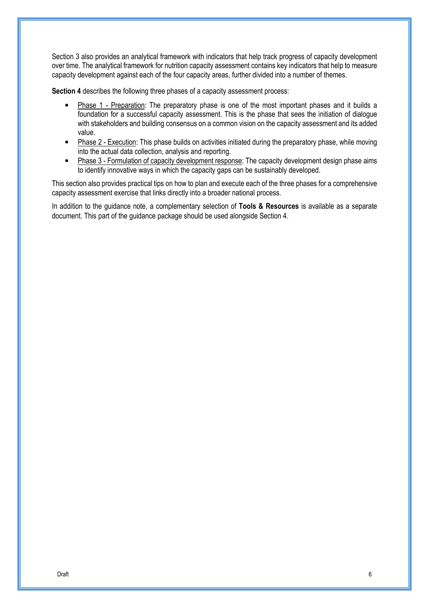Section 3 also provides an analytical framework with indicators that help track progress of capacity development over time. The analytical framework for nutrition capacity assessment contains key indicators that help to measure capacity development against each of the four capacity areas, further divided into a number of themes.

**Section 4** describes the following three phases of a capacity assessment process:

- Phase 1 Preparation: The preparatory phase is one of the most important phases and it builds a foundation for a successful capacity assessment. This is the phase that sees the initiation of dialogue with stakeholders and building consensus on a common vision on the capacity assessment and its added value.
- Phase 2 Execution: This phase builds on activities initiated during the preparatory phase, while moving into the actual data collection, analysis and reporting.
- Phase 3 Formulation of capacity development response: The capacity development design phase aims to identify innovative ways in which the capacity gaps can be sustainably developed.

This section also provides practical tips on how to plan and execute each of the three phases for a comprehensive capacity assessment exercise that links directly into a broader national process.

In addition to the guidance note, a complementary selection of **Tools & Resources** is available as a separate document. This part of the guidance package should be used alongside Section 4.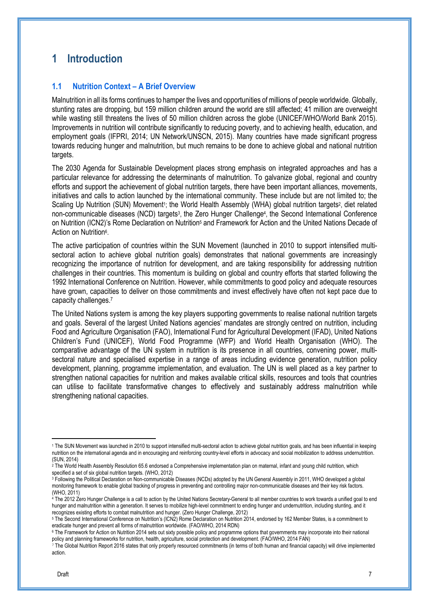## **1 Introduction**

#### **1.1 Nutrition Context – A Brief Overview**

Malnutrition in all its forms continues to hamper the lives and opportunities of millions of people worldwide. Globally, stunting rates are dropping, but 159 million children around the world are still affected; 41 million are overweight while wasting still threatens the lives of 50 million children across the globe (UNICEF/WHO/World Bank 2015). Improvements in nutrition will contribute significantly to reducing poverty, and to achieving health, education, and employment goals (IFPRI, 2014; UN Network/UNSCN, 2015). Many countries have made significant progress towards reducing hunger and malnutrition, but much remains to be done to achieve global and national nutrition targets.

The 2030 Agenda for Sustainable Development places strong emphasis on integrated approaches and has a particular relevance for addressing the determinants of malnutrition. To galvanize global, regional and country efforts and support the achievement of global nutrition targets, there have been important alliances, movements, initiatives and calls to action launched by the international community. These include but are not limited to; the Scaling Up Nutrition (SUN) Movement<sup>1</sup>; the World Health Assembly (WHA) global nutrition targets<sup>2</sup>, diet related non-communicable diseases (NCD) targets<sup>3</sup>, the Zero Hunger Challenge<sup>4</sup>, the Second International Conference on Nutrition (ICN2)'s Rome Declaration on Nutrition<sup>5</sup> and Framework for Action and the United Nations Decade of Action on Nutrition<sup>6</sup>.

The active participation of countries within the SUN Movement (launched in 2010 to support intensified multisectoral action to achieve global nutrition goals) demonstrates that national governments are increasingly recognizing the importance of nutrition for development, and are taking responsibility for addressing nutrition challenges in their countries. This momentum is building on global and country efforts that started following the 1992 International Conference on Nutrition. However, while commitments to good policy and adequate resources have grown, capacities to deliver on those commitments and invest effectively have often not kept pace due to capacity challenges.<sup>7</sup>

The United Nations system is among the key players supporting governments to realise national nutrition targets and goals. Several of the largest United Nations agencies' mandates are strongly centred on nutrition, including Food and Agriculture Organisation (FAO), International Fund for Agricultural Development (IFAD), United Nations Children's Fund (UNICEF), World Food Programme (WFP) and World Health Organisation (WHO). The comparative advantage of the UN system in nutrition is its presence in all countries, convening power, multisectoral nature and specialised expertise in a range of areas including evidence generation, nutrition policy development, planning, programme implementation, and evaluation. The UN is well placed as a key partner to strengthen national capacities for nutrition and makes available critical skills, resources and tools that countries can utilise to facilitate transformative changes to effectively and sustainably address malnutrition while strengthening national capacities.

<sup>1</sup> The SUN Movement was launched in 2010 to support intensified multi-sectoral action to achieve global nutrition goals, and has been influential in keeping nutrition on the international agenda and in encouraging and reinforcing country-level efforts in advocacy and social mobilization to address undernutrition. (SUN, 2014)

<sup>2</sup> The World Health Assembly Resolution 65.6 endorsed a Comprehensive implementation plan on maternal, infant and young child nutrition, which specified a set of six global nutrition targets. (WHO, 2012)

<sup>3</sup> Following the Political Declaration on Non-communicable Diseases (NCDs) adopted by the UN General Assembly in 2011, WHO developed a global monitoring framework to enable global tracking of progress in preventing and controlling major non-communicable diseases and their key risk factors. (WHO, 2011)

<sup>4</sup> The 2012 Zero Hunger Challenge is a call to action by the United Nations Secretary-General to all member countries to work towards a unified goal to end hunger and malnutrition within a generation. It serves to mobilize high-level commitment to ending hunger and undernutrition, including stunting, and it recognizes existing efforts to combat malnutrition and hunger. (Zero Hunger Challenge, 2012)

<sup>5</sup> The Second International Conference on Nutrition's (ICN2) Rome Declaration on Nutrition 2014, endorsed by 162 Member States, is a commitment to eradicate hunger and prevent all forms of malnutrition worldwide. (FAO/WHO, 2014 RDN)

<sup>6</sup> The Framework for Action on Nutrition 2014 sets out sixty possible policy and programme options that governments may incorporate into their national policy and planning frameworks for nutrition, health, agriculture, social protection and development. (FAO/WHO, 2014 FAN)

<sup>7</sup> The Global Nutrition Report 2016 states that only properly resourced commitments (in terms of both human and financial capacity) will drive implemented action.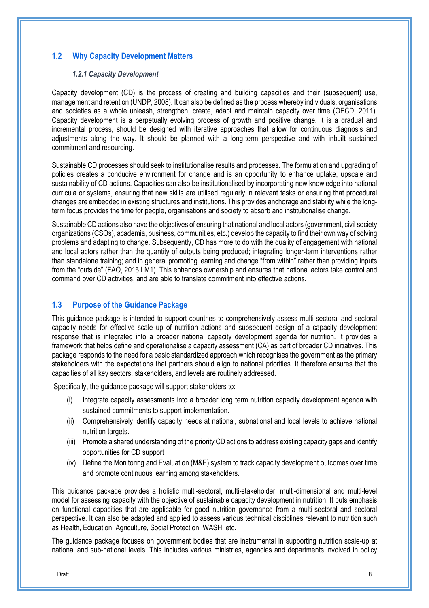#### **1.2 Why Capacity Development Matters**

#### *1.2.1 Capacity Development*

Capacity development (CD) is the process of creating and building capacities and their (subsequent) use, management and retention (UNDP, 2008). It can also be defined as the process whereby individuals, organisations and societies as a whole unleash, strengthen, create, adapt and maintain capacity over time (OECD, 2011). Capacity development is a perpetually evolving process of growth and positive change. It is a gradual and incremental process, should be designed with iterative approaches that allow for continuous diagnosis and adjustments along the way. It should be planned with a long-term perspective and with inbuilt sustained commitment and resourcing.

Sustainable CD processes should seek to institutionalise results and processes. The formulation and upgrading of policies creates a conducive environment for change and is an opportunity to enhance uptake, upscale and sustainability of CD actions. Capacities can also be institutionalised by incorporating new knowledge into national curricula or systems, ensuring that new skills are utilised regularly in relevant tasks or ensuring that procedural changes are embedded in existing structures and institutions. This provides anchorage and stability while the longterm focus provides the time for people, organisations and society to absorb and institutionalise change.

Sustainable CD actions also have the objectives of ensuring that national and local actors (government, civil society organizations (CSOs), academia, business, communities, etc.) develop the capacity to find their own way of solving problems and adapting to change. Subsequently, CD has more to do with the quality of engagement with national and local actors rather than the quantity of outputs being produced; integrating longer-term interventions rather than standalone training; and in general promoting learning and change "from within" rather than providing inputs from the "outside" (FAO, 2015 LM1). This enhances ownership and ensures that national actors take control and command over CD activities, and are able to translate commitment into effective actions.

#### **1.3 Purpose of the Guidance Package**

This guidance package is intended to support countries to comprehensively assess multi-sectoral and sectoral capacity needs for effective scale up of nutrition actions and subsequent design of a capacity development response that is integrated into a broader national capacity development agenda for nutrition. It provides a framework that helps define and operationalise a capacity assessment (CA) as part of broader CD initiatives. This package responds to the need for a basic standardized approach which recognises the government as the primary stakeholders with the expectations that partners should align to national priorities. It therefore ensures that the capacities of all key sectors, stakeholders, and levels are routinely addressed.

Specifically, the guidance package will support stakeholders to:

- (i) Integrate capacity assessments into a broader long term nutrition capacity development agenda with sustained commitments to support implementation.
- (ii) Comprehensively identify capacity needs at national, subnational and local levels to achieve national nutrition targets.
- (iii) Promote a shared understanding of the priority CD actions to address existing capacity gaps and identify opportunities for CD support
- (iv) Define the Monitoring and Evaluation (M&E) system to track capacity development outcomes over time and promote continuous learning among stakeholders.

This guidance package provides a holistic multi-sectoral, multi-stakeholder, multi-dimensional and multi-level model for assessing capacity with the objective of sustainable capacity development in nutrition. It puts emphasis on functional capacities that are applicable for good nutrition governance from a multi-sectoral and sectoral perspective. It can also be adapted and applied to assess various technical disciplines relevant to nutrition such as Health, Education, Agriculture, Social Protection, WASH, etc.

The guidance package focuses on government bodies that are instrumental in supporting nutrition scale-up at national and sub-national levels. This includes various ministries, agencies and departments involved in policy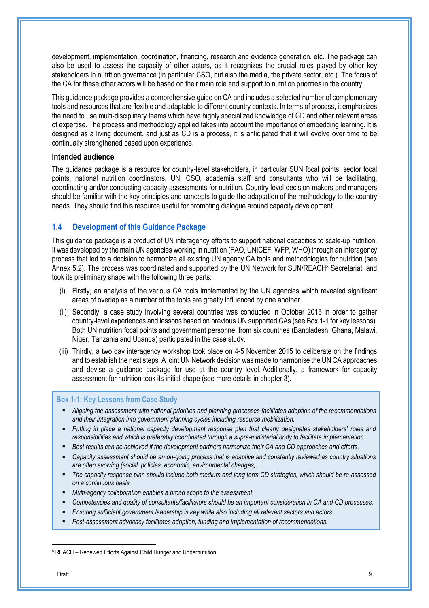development, implementation, coordination, financing, research and evidence generation, etc. The package can also be used to assess the capacity of other actors, as it recognizes the crucial roles played by other key stakeholders in nutrition governance (in particular CSO, but also the media, the private sector, etc.). The focus of the CA for these other actors will be based on their main role and support to nutrition priorities in the country.

This guidance package provides a comprehensive guide on CA and includes a selected number of complementary tools and resources that are flexible and adaptable to different country contexts. In terms of process, it emphasizes the need to use multi-disciplinary teams which have highly specialized knowledge of CD and other relevant areas of expertise. The process and methodology applied takes into account the importance of embedding learning. It is designed as a living document, and just as CD is a process, it is anticipated that it will evolve over time to be continually strengthened based upon experience.

#### **Intended audience**

The guidance package is a resource for country-level stakeholders, in particular SUN focal points, sector focal points, national nutrition coordinators, UN, CSO, academia staff and consultants who will be facilitating, coordinating and/or conducting capacity assessments for nutrition. Country level decision-makers and managers should be familiar with the key principles and concepts to guide the adaptation of the methodology to the country needs. They should find this resource useful for promoting dialogue around capacity development.

#### **1.4 Development of this Guidance Package**

This guidance package is a product of UN interagency efforts to support national capacities to scale-up nutrition. It was developed by the main UN agencies working in nutrition (FAO, UNICEF, WFP, WHO) through an interagency process that led to a decision to harmonize all existing UN agency CA tools and methodologies for nutrition (see Annex 5.2). The process was coordinated and supported by the UN Network for SUN/REACH<sup>8</sup> Secretariat, and took its preliminary shape with the following three parts:

- (i) Firstly, an analysis of the various CA tools implemented by the UN agencies which revealed significant areas of overlap as a number of the tools are greatly influenced by one another.
- (ii) Secondly, a case study involving several countries was conducted in October 2015 in order to gather country-level experiences and lessons based on previous UN supported CAs (see Box 1-1 for key lessons). Both UN nutrition focal points and government personnel from six countries (Bangladesh, Ghana, Malawi, Niger, Tanzania and Uganda) participated in the case study.
- (iii) Thirdly, a two day interagency workshop took place on 4-5 November 2015 to deliberate on the findings and to establish the next steps. A joint UN Network decision was made to harmonise the UN CA approaches and devise a guidance package for use at the country level. Additionally, a framework for capacity assessment for nutrition took its initial shape (see more details in chapter 3).

#### **Box 1-1: Key Lessons from Case Study**

- *Aligning the assessment with national priorities and planning processes facilitates adoption of the recommendations and their integration into government planning cycles including resource mobilization.*
- *Putting in place a national capacity development response plan that clearly designates stakeholders' roles and responsibilities and which is preferably coordinated through a supra-ministerial body to facilitate implementation.*
- *Best results can be achieved if the development partners harmonize their CA and CD approaches and efforts.*
- *Capacity assessment should be an on-going process that is adaptive and constantly reviewed as country situations are often evolving (social, policies, economic, environmental changes).*
- *The capacity response plan should include both medium and long term CD strategies, which should be re-assessed on a continuous basis.*
- *Multi-agency collaboration enables a broad scope to the assessment.*
- *Competencies and quality of consultants/facilitators should be an important consideration in CA and CD processes.*
- *Ensuring sufficient government leadership is key while also including all relevant sectors and actors.*
- *Post-assessment advocacy facilitates adoption, funding and implementation of recommendations.*

 $\overline{a}$ 

<sup>&</sup>lt;sup>8</sup> REACH – Renewed Efforts Against Child Hunger and Undernutrition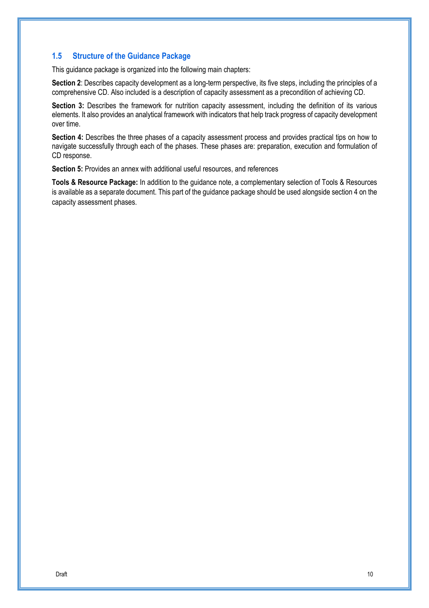#### **1.5 Structure of the Guidance Package**

This guidance package is organized into the following main chapters:

**Section 2**: Describes capacity development as a long-term perspective, its five steps, including the principles of a comprehensive CD. Also included is a description of capacity assessment as a precondition of achieving CD.

**Section 3:** Describes the framework for nutrition capacity assessment, including the definition of its various elements. It also provides an analytical framework with indicators that help track progress of capacity development over time.

**Section 4:** Describes the three phases of a capacity assessment process and provides practical tips on how to navigate successfully through each of the phases. These phases are: preparation, execution and formulation of CD response.

**Section 5:** Provides an annex with additional useful resources, and references

**Tools & Resource Package:** In addition to the guidance note, a complementary selection of Tools & Resources is available as a separate document. This part of the guidance package should be used alongside section 4 on the capacity assessment phases.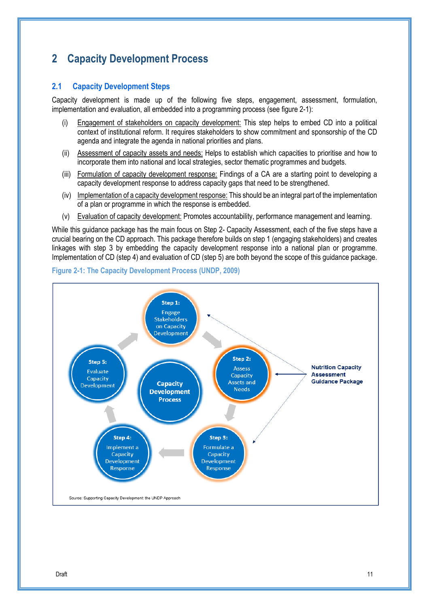## **2 Capacity Development Process**

#### **2.1 Capacity Development Steps**

Capacity development is made up of the following five steps, engagement, assessment, formulation, implementation and evaluation, all embedded into a programming process (see figure 2-1):

- Engagement of stakeholders on capacity development: This step helps to embed CD into a political context of institutional reform. It requires stakeholders to show commitment and sponsorship of the CD agenda and integrate the agenda in national priorities and plans.
- (ii) Assessment of capacity assets and needs: Helps to establish which capacities to prioritise and how to incorporate them into national and local strategies, sector thematic programmes and budgets.
- (iii) Formulation of capacity development response: Findings of a CA are a starting point to developing a capacity development response to address capacity gaps that need to be strengthened.
- (iv) Implementation of a capacity development response: This should be an integral part of the implementation of a plan or programme in which the response is embedded.
- (v) Evaluation of capacity development: Promotes accountability, performance management and learning.

While this guidance package has the main focus on Step 2- Capacity Assessment, each of the five steps have a crucial bearing on the CD approach. This package therefore builds on step 1 (engaging stakeholders) and creates linkages with step 3 by embedding the capacity development response into a national plan or programme. Implementation of CD (step 4) and evaluation of CD (step 5) are both beyond the scope of this guidance package.



#### **Figure 2-1: The Capacity Development Process (UNDP, 2009)**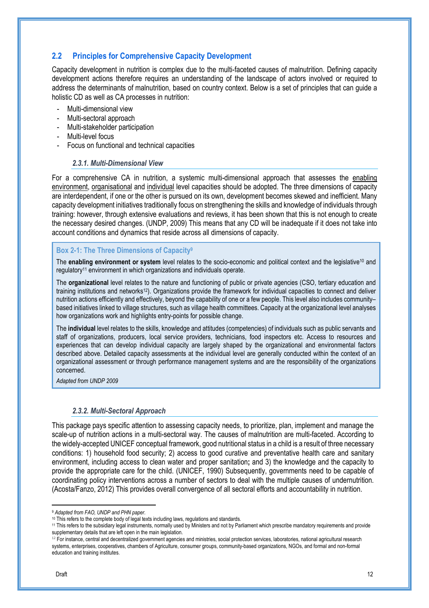#### **2.2 Principles for Comprehensive Capacity Development**

Capacity development in nutrition is complex due to the multi-faceted causes of malnutrition. Defining capacity development actions therefore requires an understanding of the landscape of actors involved or required to address the determinants of malnutrition, based on country context. Below is a set of principles that can guide a holistic CD as well as CA processes in nutrition:

- Multi-dimensional view
- Multi-sectoral approach
- Multi-stakeholder participation
- Multi-level focus
- Focus on functional and technical capacities

#### *2.3.1. Multi-Dimensional View*

For a comprehensive CA in nutrition, a systemic multi-dimensional approach that assesses the enabling environment, organisational and individual level capacities should be adopted. The three dimensions of capacity are interdependent, if one or the other is pursued on its own, development becomes skewed and inefficient. Many capacity development initiatives traditionally focus on strengthening the skills and knowledge of individuals through training: however, through extensive evaluations and reviews, it has been shown that this is not enough to create the necessary desired changes. (UNDP, 2009) This means that any CD will be inadequate if it does not take into account conditions and dynamics that reside across all dimensions of capacity.

#### **Box 2-1: The Three Dimensions of Capacity<sup>9</sup>**

The **enabling environment or system** level relates to the socio-economic and political context and the legislative<sup>10</sup> and regulatory11 environment in which organizations and individuals operate.

The **organizational** level relates to the nature and functioning of public or private agencies (CSO, tertiary education and training institutions and networks12). Organizations provide the framework for individual capacities to connect and deliver nutrition actions efficiently and effectively, beyond the capability of one or a few people. This level also includes community– based initiatives linked to village structures, such as village health committees. Capacity at the organizational level analyses how organizations work and highlights entry-points for possible change.

The **individual** level relates to the skills, knowledge and attitudes (competencies) of individuals such as public servants and staff of organizations, producers, local service providers, technicians, food inspectors etc. Access to resources and experiences that can develop individual capacity are largely shaped by the organizational and environmental factors described above. Detailed capacity assessments at the individual level are generally conducted within the context of an organizational assessment or through performance management systems and are the responsibility of the organizations concerned.

*Adapted from UNDP 2009* 

#### *2.3.2. Multi-Sectoral Approach*

This package pays specific attention to assessing capacity needs, to prioritize, plan, implement and manage the scale-up of nutrition actions in a multi-sectoral way. The causes of malnutrition are multi-faceted. According to the widely-accepted UNICEF conceptual framework, good nutritional status in a child is a result of three necessary conditions: 1) household food security; 2) access to good curative and preventative health care and sanitary environment, including access to clean water and proper sanitation**;** and 3) the knowledge and the capacity to provide the appropriate care for the child. (UNICEF, 1990) Subsequently, governments need to be capable of coordinating policy interventions across a number of sectors to deal with the multiple causes of undernutrition. (Acosta/Fanzo, 2012) This provides overall convergence of all sectoral efforts and accountability in nutrition.

<sup>9</sup> *Adapted from FAO, UNDP and PHN paper.*

<sup>&</sup>lt;sup>10</sup> This refers to the complete body of legal texts including laws, regulations and standards.

<sup>11</sup> This refers to the subsidiary legal instruments, normally used by Ministers and not by Parliament which prescribe mandatory requirements and provide supplementary details that are left open in the main legislation.

<sup>&</sup>lt;sup>12</sup> For instance, central and decentralized government agencies and ministries, social protection services, laboratories, national agricultural research systems, enterprises, cooperatives, chambers of Agriculture, consumer groups, community-based organizations, NGOs, and formal and non-formal education and training institutes.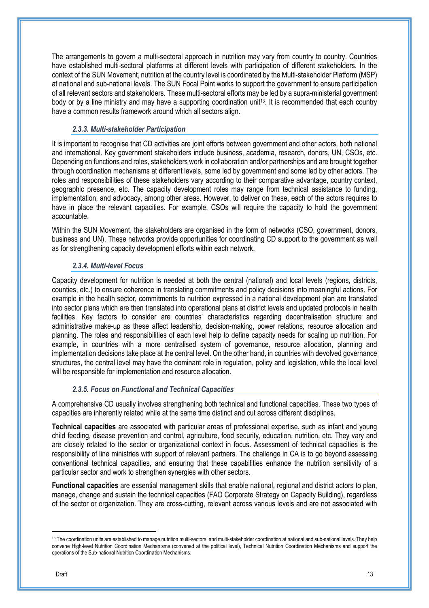The arrangements to govern a multi-sectoral approach in nutrition may vary from country to country. Countries have established multi-sectoral platforms at different levels with participation of different stakeholders. In the context of the SUN Movement, nutrition at the country level is coordinated by the Multi-stakeholder Platform (MSP) at national and sub-national levels. The SUN Focal Point works to support the government to ensure participation of all relevant sectors and stakeholders. These multi-sectoral efforts may be led by a supra-ministerial government body or by a line ministry and may have a supporting coordination unit<sup>13</sup>. It is recommended that each country have a common results framework around which all sectors align.

#### *2.3.3. Multi-stakeholder Participation*

It is important to recognise that CD activities are joint efforts between government and other actors, both national and international. Key government stakeholders include business, academia, research, donors, UN, CSOs, etc. Depending on functions and roles, stakeholders work in collaboration and/or partnerships and are brought together through coordination mechanisms at different levels, some led by government and some led by other actors. The roles and responsibilities of these stakeholders vary according to their comparative advantage, country context, geographic presence, etc. The capacity development roles may range from technical assistance to funding, implementation, and advocacy, among other areas. However, to deliver on these, each of the actors requires to have in place the relevant capacities. For example, CSOs will require the capacity to hold the government accountable.

Within the SUN Movement, the stakeholders are organised in the form of networks (CSO, government, donors, business and UN). These networks provide opportunities for coordinating CD support to the government as well as for strengthening capacity development efforts within each network.

#### *2.3.4. Multi-level Focus*

Capacity development for nutrition is needed at both the central (national) and local levels (regions, districts, counties, etc.) to ensure coherence in translating commitments and policy decisions into meaningful actions. For example in the health sector, commitments to nutrition expressed in a national development plan are translated into sector plans which are then translated into operational plans at district levels and updated protocols in health facilities. Key factors to consider are countries' characteristics regarding decentralisation structure and administrative make-up as these affect leadership, decision-making, power relations, resource allocation and planning. The roles and responsibilities of each level help to define capacity needs for scaling up nutrition. For example, in countries with a more centralised system of governance, resource allocation, planning and implementation decisions take place at the central level. On the other hand, in countries with devolved governance structures, the central level may have the dominant role in regulation, policy and legislation, while the local level will be responsible for implementation and resource allocation.

#### *2.3.5. Focus on Functional and Technical Capacities*

A comprehensive CD usually involves strengthening both technical and functional capacities. These two types of capacities are inherently related while at the same time distinct and cut across different disciplines.

**Technical capacities** are associated with particular areas of professional expertise, such as infant and young child feeding, disease prevention and control, agriculture, food security, education, nutrition, etc. They vary and are closely related to the sector or organizational context in focus. Assessment of technical capacities is the responsibility of line ministries with support of relevant partners. The challenge in CA is to go beyond assessing conventional technical capacities, and ensuring that these capabilities enhance the nutrition sensitivity of a particular sector and work to strengthen synergies with other sectors.

**Functional capacities** are essential management skills that enable national, regional and district actors to plan, manage, change and sustain the technical capacities (FAO Corporate Strategy on Capacity Building), regardless of the sector or organization. They are cross-cutting, relevant across various levels and are not associated with

<sup>&</sup>lt;sup>13</sup> The coordination units are established to manage nutrition multi-sectoral and multi-stakeholder coordination at national and sub-national levels. They help convene High-level Nutrition Coordination Mechanisms (convened at the political level), Technical Nutrition Coordination Mechanisms and support the operations of the Sub-national Nutrition Coordination Mechanisms.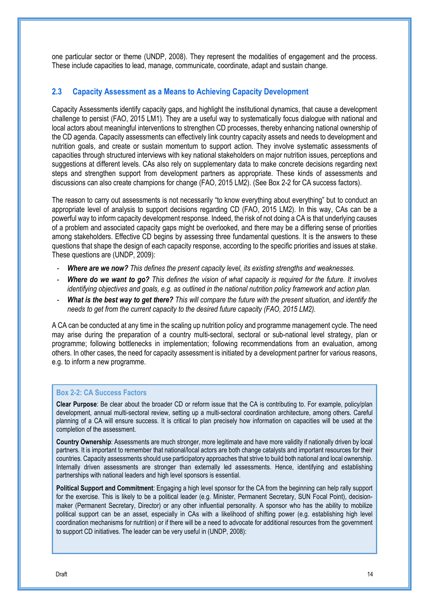one particular sector or theme (UNDP, 2008). They represent the modalities of engagement and the process. These include capacities to lead, manage, communicate, coordinate, adapt and sustain change.

#### **2.3 Capacity Assessment as a Means to Achieving Capacity Development**

Capacity Assessments identify capacity gaps, and highlight the institutional dynamics, that cause a development challenge to persist (FAO, 2015 LM1). They are a useful way to systematically focus dialogue with national and local actors about meaningful interventions to strengthen CD processes, thereby enhancing national ownership of the CD agenda. Capacity assessments can effectively link country capacity assets and needs to development and nutrition goals, and create or sustain momentum to support action. They involve systematic assessments of capacities through structured interviews with key national stakeholders on major nutrition issues, perceptions and suggestions at different levels. CAs also rely on supplementary data to make concrete decisions regarding next steps and strengthen support from development partners as appropriate. These kinds of assessments and discussions can also create champions for change (FAO, 2015 LM2). (See Box 2-2 for CA success factors).

The reason to carry out assessments is not necessarily "to know everything about everything" but to conduct an appropriate level of analysis to support decisions regarding CD (FAO, 2015 LM2). In this way, CAs can be a powerful way to inform capacity development response. Indeed, the risk of not doing a CA is that underlying causes of a problem and associated capacity gaps might be overlooked, and there may be a differing sense of priorities among stakeholders. Effective CD begins by assessing three fundamental questions. It is the answers to these questions that shape the design of each capacity response, according to the specific priorities and issues at stake. These questions are (UNDP, 2009):

- *Where are we now? This defines the present capacity level, its existing strengths and weaknesses.*
- *Where do we want to go? This defines the vision of what capacity is required for the future. It involves identifying objectives and goals, e.g. as outlined in the national nutrition policy framework and action plan.*
- *What is the best way to get there? This will compare the future with the present situation, and identify the needs to get from the current capacity to the desired future capacity (FAO, 2015 LM2).*

A CA can be conducted at any time in the scaling up nutrition policy and programme management cycle. The need may arise during the preparation of a country multi-sectoral, sectoral or sub-national level strategy, plan or programme; following bottlenecks in implementation; following recommendations from an evaluation, among others. In other cases, the need for capacity assessment is initiated by a development partner for various reasons, e.g. to inform a new programme.

#### **Box 2-2: CA Success Factors**

**Clear Purpose**: Be clear about the broader CD or reform issue that the CA is contributing to. For example, policy/plan development, annual multi-sectoral review, setting up a multi-sectoral coordination architecture, among others. Careful planning of a CA will ensure success. It is critical to plan precisely how information on capacities will be used at the completion of the assessment.

**Country Ownership**: Assessments are much stronger, more legitimate and have more validity if nationally driven by local partners. It is important to remember that national/local actors are both change catalysts and important resources for their countries. Capacity assessments should use participatory approaches that strive to build both national and local ownership. Internally driven assessments are stronger than externally led assessments. Hence, identifying and establishing partnerships with national leaders and high level sponsors is essential.

**Political Support and Commitment**: Engaging a high level sponsor for the CA from the beginning can help rally support for the exercise. This is likely to be a political leader (e.g. Minister, Permanent Secretary, SUN Focal Point), decisionmaker (Permanent Secretary, Director) or any other influential personality. A sponsor who has the ability to mobilize political support can be an asset, especially in CAs with a likelihood of shifting power (e.g. establishing high level coordination mechanisms for nutrition) or if there will be a need to advocate for additional resources from the government to support CD initiatives. The leader can be very useful in (UNDP, 2008):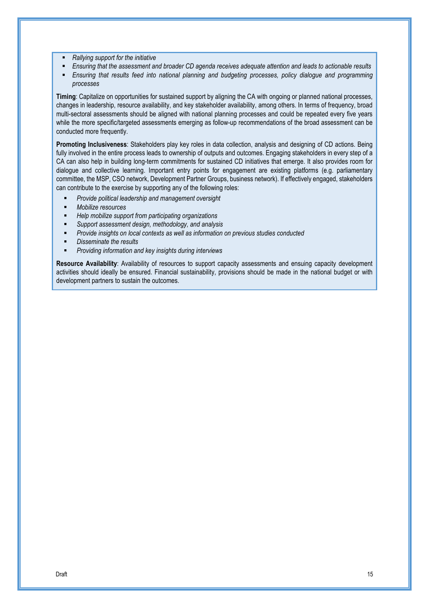- *Rallying support for the initiative*
- *Ensuring that the assessment and broader CD agenda receives adequate attention and leads to actionable results*
- *Ensuring that results feed into national planning and budgeting processes, policy dialogue and programming processes*

**Timing**: Capitalize on opportunities for sustained support by aligning the CA with ongoing or planned national processes, changes in leadership, resource availability, and key stakeholder availability, among others. In terms of frequency, broad multi-sectoral assessments should be aligned with national planning processes and could be repeated every five years while the more specific/targeted assessments emerging as follow-up recommendations of the broad assessment can be conducted more frequently.

**Promoting Inclusiveness**: Stakeholders play key roles in data collection, analysis and designing of CD actions. Being fully involved in the entire process leads to ownership of outputs and outcomes. Engaging stakeholders in every step of a CA can also help in building long-term commitments for sustained CD initiatives that emerge. It also provides room for dialogue and collective learning. Important entry points for engagement are existing platforms (e.g. parliamentary committee, the MSP, CSO network, Development Partner Groups, business network). If effectively engaged, stakeholders can contribute to the exercise by supporting any of the following roles:

- *Provide political leadership and management oversight*
- *Mobilize resources*
- *Help mobilize support from participating organizations*
- *Support assessment design, methodology, and analysis*
- *Provide insights on local contexts as well as information on previous studies conducted*
- *Disseminate the results*
- *Providing information and key insights during interviews*

**Resource Availability**: Availability of resources to support capacity assessments and ensuing capacity development activities should ideally be ensured. Financial sustainability, provisions should be made in the national budget or with development partners to sustain the outcomes.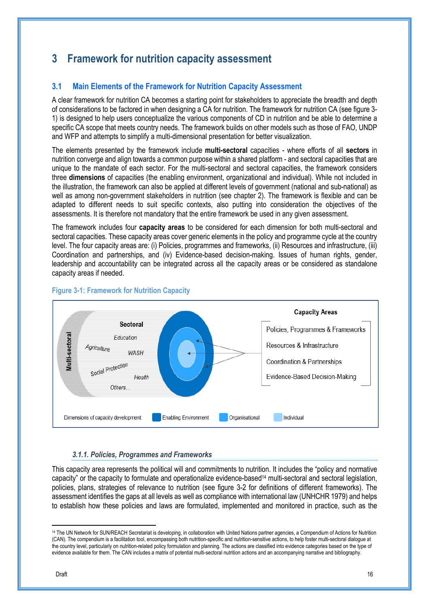## **3 Framework for nutrition capacity assessment**

#### **3.1 Main Elements of the Framework for Nutrition Capacity Assessment**

A clear framework for nutrition CA becomes a starting point for stakeholders to appreciate the breadth and depth of considerations to be factored in when designing a CA for nutrition. The framework for nutrition CA (see figure 3- 1) is designed to help users conceptualize the various components of CD in nutrition and be able to determine a specific CA scope that meets country needs. The framework builds on other models such as those of FAO, UNDP and WFP and attempts to simplify a multi-dimensional presentation for better visualization.

The elements presented by the framework include **multi-sectoral** capacities - where efforts of all **sectors** in nutrition converge and align towards a common purpose within a shared platform - and sectoral capacities that are unique to the mandate of each sector. For the multi-sectoral and sectoral capacities, the framework considers three **dimensions** of capacities (the enabling environment, organizational and individual). While not included in the illustration, the framework can also be applied at different levels of government (national and sub-national) as well as among non-government stakeholders in nutrition (see chapter 2). The framework is flexible and can be adapted to different needs to suit specific contexts, also putting into consideration the objectives of the assessments. It is therefore not mandatory that the entire framework be used in any given assessment.

The framework includes four **capacity areas** to be considered for each dimension for both multi-sectoral and sectoral capacities. These capacity areas cover generic elements in the policy and programme cycle at the country level. The four capacity areas are: (i) Policies, programmes and frameworks, (ii) Resources and infrastructure, (iii) Coordination and partnerships, and (iv) Evidence-based decision-making. Issues of human rights, gender, leadership and accountability can be integrated across all the capacity areas or be considered as standalone capacity areas if needed.



#### **Figure 3-1: Framework for Nutrition Capacity**

#### *3.1.1. Policies, Programmes and Frameworks*

This capacity area represents the political will and commitments to nutrition. It includes the "policy and normative capacity" or the capacity to formulate and operationalize evidence-based14 multi-sectoral and sectoral legislation, policies, plans, strategies of relevance to nutrition (see figure 3-2 for definitions of different frameworks). The assessment identifies the gaps at all levels as well as compliance with international law (UNHCHR 1979) and helps to establish how these policies and laws are formulated, implemented and monitored in practice, such as the

<sup>&</sup>lt;sup>14</sup> The UN Network for SUN/REACH Secretariat is developing, in collaboration with United Nations partner agencies, a Compendium of Actions for Nutrition (CAN). The compendium is a facilitation tool, encompassing both nutrition-specific and nutrition-sensitive actions, to help foster multi-sectoral dialogue at the country level, particularly on nutrition-related policy formulation and planning. The actions are classified into evidence categories based on the type of evidence available for them. The CAN includes a matrix of potential multi-sectoral nutrition actions and an accompanying narrative and bibliography.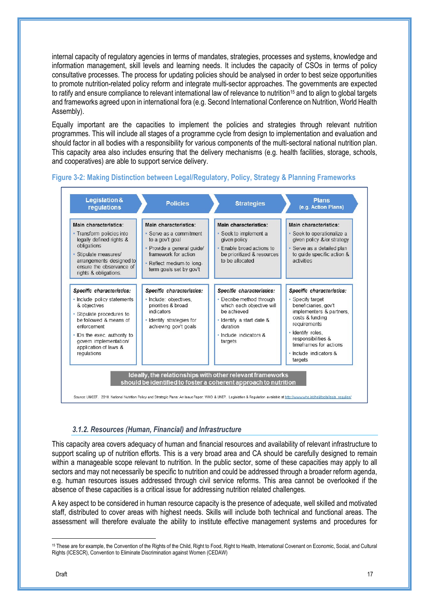internal capacity of regulatory agencies in terms of mandates, strategies, processes and systems, knowledge and information management, skill levels and learning needs. It includes the capacity of CSOs in terms of policy consultative processes. The process for updating policies should be analysed in order to best seize opportunities to promote nutrition-related policy reform and integrate multi-sector approaches. The governments are expected to ratify and ensure compliance to relevant international law of relevance to nutrition<sup>15</sup> and to align to global targets and frameworks agreed upon in international fora (e.g. Second International Conference on Nutrition, World Health Assembly).

Equally important are the capacities to implement the policies and strategies through relevant nutrition programmes. This will include all stages of a programme cycle from design to implementation and evaluation and should factor in all bodies with a responsibility for various components of the multi-sectoral national nutrition plan. This capacity area also includes ensuring that the delivery mechanisms (e.g. health facilities, storage, schools, and cooperatives) are able to support service delivery.



#### **Figure 3-2: Making Distinction between Legal/Regulatory, Policy, Strategy & Planning Frameworks**

#### *3.1.2. Resources (Human, Financial) and Infrastructure*

This capacity area covers adequacy of human and financial resources and availability of relevant infrastructure to support scaling up of nutrition efforts. This is a very broad area and CA should be carefully designed to remain within a manageable scope relevant to nutrition. In the public sector, some of these capacities may apply to all sectors and may not necessarily be specific to nutrition and could be addressed through a broader reform agenda, e.g. human resources issues addressed through civil service reforms. This area cannot be overlooked if the absence of these capacities is a critical issue for addressing nutrition related challenges.

A key aspect to be considered in human resource capacity is the presence of adequate, well skilled and motivated staff, distributed to cover areas with highest needs. Skills will include both technical and functional areas. The assessment will therefore evaluate the ability to institute effective management systems and procedures for

<sup>&</sup>lt;sup>15</sup> These are for example, the Convention of the Rights of the Child, Right to Food, Right to Health, International Covenant on Economic, Social, and Cultural Rights (ICESCR), Convention to Eliminate Discrimination against Women (CEDAW)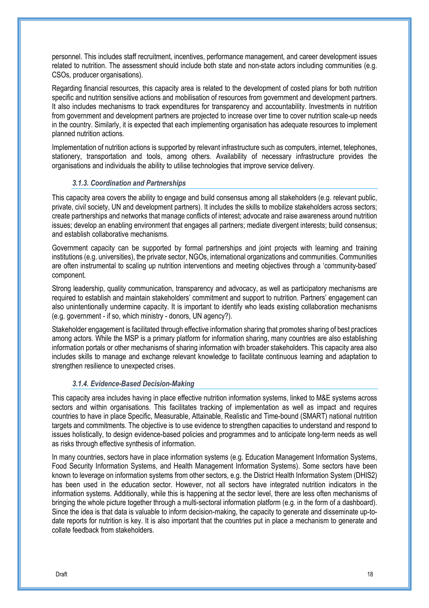personnel. This includes staff recruitment, incentives, performance management, and career development issues related to nutrition. The assessment should include both state and non-state actors including communities (e.g. CSOs, producer organisations).

Regarding financial resources, this capacity area is related to the development of costed plans for both nutrition specific and nutrition sensitive actions and mobilisation of resources from government and development partners. It also includes mechanisms to track expenditures for transparency and accountability. Investments in nutrition from government and development partners are projected to increase over time to cover nutrition scale-up needs in the country. Similarly, it is expected that each implementing organisation has adequate resources to implement planned nutrition actions.

Implementation of nutrition actions is supported by relevant infrastructure such as computers, internet, telephones, stationery, transportation and tools, among others. Availability of necessary infrastructure provides the organisations and individuals the ability to utilise technologies that improve service delivery.

#### *3.1.3. Coordination and Partnerships*

This capacity area covers the ability to engage and build consensus among all stakeholders (e.g. relevant public, private, civil society, UN and development partners). It includes the skills to mobilize stakeholders across sectors; create partnerships and networks that manage conflicts of interest; advocate and raise awareness around nutrition issues; develop an enabling environment that engages all partners; mediate divergent interests; build consensus; and establish collaborative mechanisms.

Government capacity can be supported by formal partnerships and joint projects with learning and training institutions (e.g. universities), the private sector, NGOs, international organizations and communities. Communities are often instrumental to scaling up nutrition interventions and meeting objectives through a 'community-based' component.

Strong leadership, quality communication, transparency and advocacy, as well as participatory mechanisms are required to establish and maintain stakeholders' commitment and support to nutrition. Partners' engagement can also unintentionally undermine capacity. It is important to identify who leads existing collaboration mechanisms (e.g. government - if so, which ministry - donors, UN agency?).

Stakeholder engagement is facilitated through effective information sharing that promotes sharing of best practices among actors. While the MSP is a primary platform for information sharing, many countries are also establishing information portals or other mechanisms of sharing information with broader stakeholders. This capacity area also includes skills to manage and exchange relevant knowledge to facilitate continuous learning and adaptation to strengthen resilience to unexpected crises.

#### *3.1.4. Evidence-Based Decision-Making*

This capacity area includes having in place effective nutrition information systems, linked to M&E systems across sectors and within organisations. This facilitates tracking of implementation as well as impact and requires countries to have in place Specific, Measurable, Attainable, Realistic and Time-bound (SMART) national nutrition targets and commitments. The objective is to use evidence to strengthen capacities to understand and respond to issues holistically, to design evidence-based policies and programmes and to anticipate long-term needs as well as risks through effective synthesis of information.

In many countries, sectors have in place information systems (e.g. Education Management Information Systems, Food Security Information Systems, and Health Management Information Systems). Some sectors have been known to leverage on information systems from other sectors, e.g. the District Health Information System (DHIS2) has been used in the education sector. However, not all sectors have integrated nutrition indicators in the information systems. Additionally, while this is happening at the sector level, there are less often mechanisms of bringing the whole picture together through a multi-sectoral information platform (e.g. in the form of a dashboard). Since the idea is that data is valuable to inform decision-making, the capacity to generate and disseminate up-todate reports for nutrition is key. It is also important that the countries put in place a mechanism to generate and collate feedback from stakeholders.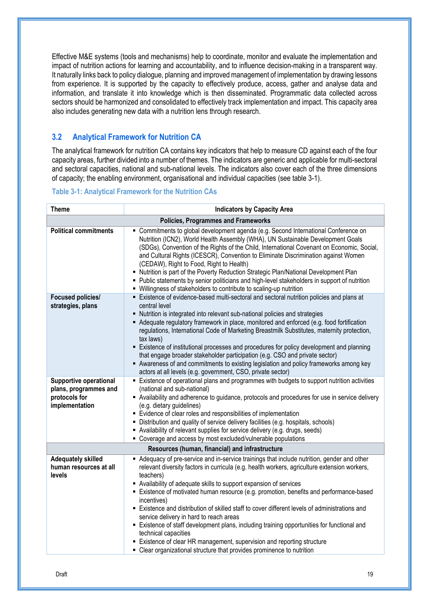Effective M&E systems (tools and mechanisms) help to coordinate, monitor and evaluate the implementation and impact of nutrition actions for learning and accountability, and to influence decision-making in a transparent way. It naturally links back to policy dialogue, planning and improved management of implementation by drawing lessons from experience. It is supported by the capacity to effectively produce, access, gather and analyse data and information, and translate it into knowledge which is then disseminated. Programmatic data collected across sectors should be harmonized and consolidated to effectively track implementation and impact. This capacity area also includes generating new data with a nutrition lens through research.

#### **3.2 Analytical Framework for Nutrition CA**

The analytical framework for nutrition CA contains key indicators that help to measure CD against each of the four capacity areas, further divided into a number of themes. The indicators are generic and applicable for multi-sectoral and sectoral capacities, national and sub-national levels. The indicators also cover each of the three dimensions of capacity; the enabling environment, organisational and individual capacities (see table 3-1).

#### **Table 3-1: Analytical Framework for the Nutrition CAs**

| <b>Theme</b>                                           | <b>Indicators by Capacity Area</b>                                                                                                                                                                                                                                                                                                                                                                                                                                                                                                                                                                                                                                      |  |  |  |
|--------------------------------------------------------|-------------------------------------------------------------------------------------------------------------------------------------------------------------------------------------------------------------------------------------------------------------------------------------------------------------------------------------------------------------------------------------------------------------------------------------------------------------------------------------------------------------------------------------------------------------------------------------------------------------------------------------------------------------------------|--|--|--|
|                                                        | <b>Policies, Programmes and Frameworks</b>                                                                                                                                                                                                                                                                                                                                                                                                                                                                                                                                                                                                                              |  |  |  |
| <b>Political commitments</b>                           | " Commitments to global development agenda (e.g. Second International Conference on<br>Nutrition (ICN2), World Health Assembly (WHA), UN Sustainable Development Goals<br>(SDGs), Convention of the Rights of the Child, International Covenant on Economic, Social,<br>and Cultural Rights (ICESCR), Convention to Eliminate Discrimination against Women<br>(CEDAW), Right to Food, Right to Health)<br>• Nutrition is part of the Poverty Reduction Strategic Plan/National Development Plan<br>• Public statements by senior politicians and high-level stakeholders in support of nutrition<br>• Willingness of stakeholders to contribute to scaling-up nutrition |  |  |  |
| <b>Focused policies/</b>                               | Existence of evidence-based multi-sectoral and sectoral nutrition policies and plans at                                                                                                                                                                                                                                                                                                                                                                                                                                                                                                                                                                                 |  |  |  |
| strategies, plans                                      | central level<br>• Nutrition is integrated into relevant sub-national policies and strategies                                                                                                                                                                                                                                                                                                                                                                                                                                                                                                                                                                           |  |  |  |
|                                                        | • Adequate regulatory framework in place, monitored and enforced (e.g. food fortification<br>regulations, International Code of Marketing Breastmilk Substitutes, maternity protection,<br>tax laws)                                                                                                                                                                                                                                                                                                                                                                                                                                                                    |  |  |  |
|                                                        | Existence of institutional processes and procedures for policy development and planning                                                                                                                                                                                                                                                                                                                                                                                                                                                                                                                                                                                 |  |  |  |
|                                                        | that engage broader stakeholder participation (e.g. CSO and private sector)<br>Awareness of and commitments to existing legislation and policy frameworks among key                                                                                                                                                                                                                                                                                                                                                                                                                                                                                                     |  |  |  |
|                                                        | actors at all levels (e.g. government, CSO, private sector)                                                                                                                                                                                                                                                                                                                                                                                                                                                                                                                                                                                                             |  |  |  |
| <b>Supportive operational</b><br>plans, programmes and | Existence of operational plans and programmes with budgets to support nutrition activities<br>(national and sub-national)                                                                                                                                                                                                                                                                                                                                                                                                                                                                                                                                               |  |  |  |
| protocols for<br>implementation                        | - Availability and adherence to guidance, protocols and procedures for use in service delivery<br>(e.g. dietary guidelines)                                                                                                                                                                                                                                                                                                                                                                                                                                                                                                                                             |  |  |  |
|                                                        | Evidence of clear roles and responsibilities of implementation                                                                                                                                                                                                                                                                                                                                                                                                                                                                                                                                                                                                          |  |  |  |
|                                                        | • Distribution and quality of service delivery facilities (e.g. hospitals, schools)                                                                                                                                                                                                                                                                                                                                                                                                                                                                                                                                                                                     |  |  |  |
|                                                        | • Availability of relevant supplies for service delivery (e.g. drugs, seeds)                                                                                                                                                                                                                                                                                                                                                                                                                                                                                                                                                                                            |  |  |  |
|                                                        | • Coverage and access by most excluded/vulnerable populations<br>Resources (human, financial) and infrastructure                                                                                                                                                                                                                                                                                                                                                                                                                                                                                                                                                        |  |  |  |
| <b>Adequately skilled</b>                              | Adequacy of pre-service and in-service trainings that include nutrition, gender and other                                                                                                                                                                                                                                                                                                                                                                                                                                                                                                                                                                               |  |  |  |
| human resources at all<br><b>levels</b>                | relevant diversity factors in curricula (e.g. health workers, agriculture extension workers,<br>teachers)                                                                                                                                                                                                                                                                                                                                                                                                                                                                                                                                                               |  |  |  |
|                                                        | Availability of adequate skills to support expansion of services                                                                                                                                                                                                                                                                                                                                                                                                                                                                                                                                                                                                        |  |  |  |
|                                                        | Existence of motivated human resource (e.g. promotion, benefits and performance-based<br>incentives)                                                                                                                                                                                                                                                                                                                                                                                                                                                                                                                                                                    |  |  |  |
|                                                        | Existence and distribution of skilled staff to cover different levels of administrations and                                                                                                                                                                                                                                                                                                                                                                                                                                                                                                                                                                            |  |  |  |
|                                                        | service delivery in hard to reach areas                                                                                                                                                                                                                                                                                                                                                                                                                                                                                                                                                                                                                                 |  |  |  |
|                                                        | Existence of staff development plans, including training opportunities for functional and<br>technical capacities                                                                                                                                                                                                                                                                                                                                                                                                                                                                                                                                                       |  |  |  |
|                                                        | Existence of clear HR management, supervision and reporting structure                                                                                                                                                                                                                                                                                                                                                                                                                                                                                                                                                                                                   |  |  |  |
|                                                        | • Clear organizational structure that provides prominence to nutrition                                                                                                                                                                                                                                                                                                                                                                                                                                                                                                                                                                                                  |  |  |  |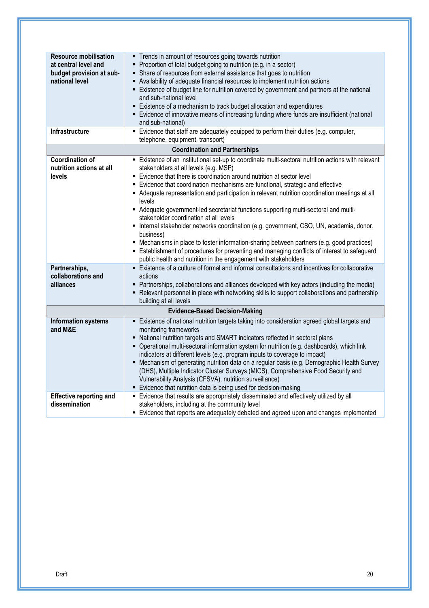| <b>Resource mobilisation</b><br>at central level and<br>budget provision at sub-<br>national level<br>Infrastructure | • Trends in amount of resources going towards nutrition<br>• Proportion of total budget going to nutrition (e.g. in a sector)<br>• Share of resources from external assistance that goes to nutrition<br>- Availability of adequate financial resources to implement nutrition actions<br>Existence of budget line for nutrition covered by government and partners at the national<br>and sub-national level<br>Existence of a mechanism to track budget allocation and expenditures<br>Evidence of innovative means of increasing funding where funds are insufficient (national<br>and sub-national)<br>Evidence that staff are adequately equipped to perform their duties (e.g. computer,                                                                                                                                                                                                                          |
|----------------------------------------------------------------------------------------------------------------------|-------------------------------------------------------------------------------------------------------------------------------------------------------------------------------------------------------------------------------------------------------------------------------------------------------------------------------------------------------------------------------------------------------------------------------------------------------------------------------------------------------------------------------------------------------------------------------------------------------------------------------------------------------------------------------------------------------------------------------------------------------------------------------------------------------------------------------------------------------------------------------------------------------------------------|
|                                                                                                                      | telephone, equipment, transport)                                                                                                                                                                                                                                                                                                                                                                                                                                                                                                                                                                                                                                                                                                                                                                                                                                                                                        |
|                                                                                                                      | <b>Coordination and Partnerships</b>                                                                                                                                                                                                                                                                                                                                                                                                                                                                                                                                                                                                                                                                                                                                                                                                                                                                                    |
| <b>Coordination of</b><br>nutrition actions at all<br>levels                                                         | Existence of an institutional set-up to coordinate multi-sectoral nutrition actions with relevant<br>stakeholders at all levels (e.g. MSP)<br>Evidence that there is coordination around nutrition at sector level<br>Evidence that coordination mechanisms are functional, strategic and effective<br>Adequate representation and participation in relevant nutrition coordination meetings at all<br>levels<br>- Adequate government-led secretariat functions supporting multi-sectoral and multi-<br>stakeholder coordination at all levels<br>• Internal stakeholder networks coordination (e.g. government, CSO, UN, academia, donor,<br>business)<br>• Mechanisms in place to foster information-sharing between partners (e.g. good practices)<br>Establishment of procedures for preventing and managing conflicts of interest to safeguard<br>public health and nutrition in the engagement with stakeholders |
| Partnerships,<br>collaborations and<br>alliances                                                                     | Existence of a culture of formal and informal consultations and incentives for collaborative<br>actions<br>• Partnerships, collaborations and alliances developed with key actors (including the media)<br>• Relevant personnel in place with networking skills to support collaborations and partnership<br>building at all levels                                                                                                                                                                                                                                                                                                                                                                                                                                                                                                                                                                                     |
|                                                                                                                      | <b>Evidence-Based Decision-Making</b>                                                                                                                                                                                                                                                                                                                                                                                                                                                                                                                                                                                                                                                                                                                                                                                                                                                                                   |
| <b>Information systems</b><br>and M&E                                                                                | Existence of national nutrition targets taking into consideration agreed global targets and<br>٠<br>monitoring frameworks<br>• National nutrition targets and SMART indicators reflected in sectoral plans<br>• Operational multi-sectoral information system for nutrition (e.g. dashboards), which link<br>indicators at different levels (e.g. program inputs to coverage to impact)<br>• Mechanism of generating nutrition data on a regular basis (e.g. Demographic Health Survey<br>(DHS), Multiple Indicator Cluster Surveys (MICS), Comprehensive Food Security and<br>Vulnerability Analysis (CFSVA), nutrition surveillance)<br>Evidence that nutrition data is being used for decision-making                                                                                                                                                                                                                |
| <b>Effective reporting and</b><br>dissemination                                                                      | Evidence that results are appropriately disseminated and effectively utilized by all<br>stakeholders, including at the community level<br>Evidence that reports are adequately debated and agreed upon and changes implemented                                                                                                                                                                                                                                                                                                                                                                                                                                                                                                                                                                                                                                                                                          |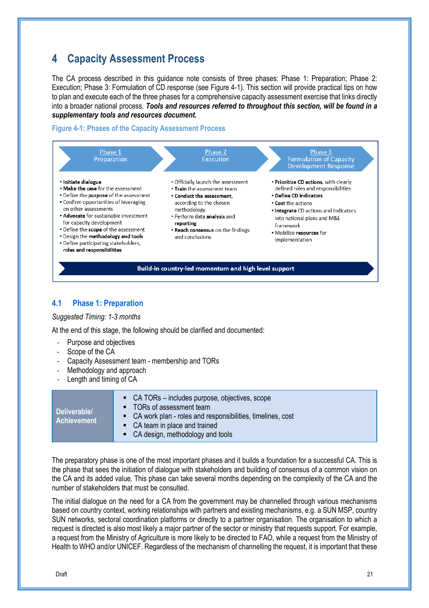## **4 Capacity Assessment Process**

The CA process described in this guidance note consists of three phases: Phase 1: Preparation; Phase 2: Execution; Phase 3: Formulation of CD response (see Figure 4-1). This section will provide practical tips on how to plan and execute each of the three phases for a comprehensive capacity assessment exercise that links directly into a broader national process. *Tools and resources referred to throughout this section, will be found in a supplementary tools and resources document.*

#### **Figure 4-1: Phases of the Capacity Assessment Process**



#### **4.1 Phase 1: Preparation**

#### *Suggested Timing: 1-3 months*

At the end of this stage, the following should be clarified and documented:

- Purpose and objectives
- Scope of the CA
- Capacity Assessment team membership and TORs
- Methodology and approach
- Length and timing of CA

|                                    | • CA TORs – includes purpose, objectives, scope                                           |
|------------------------------------|-------------------------------------------------------------------------------------------|
| Deliverable/<br><b>Achievement</b> | • TORs of assessment team<br>• CA work plan - roles and responsibilities, timelines, cost |
|                                    | • CA team in place and trained<br>• CA design, methodology and tools                      |

The preparatory phase is one of the most important phases and it builds a foundation for a successful CA. This is the phase that sees the initiation of dialogue with stakeholders and building of consensus of a common vision on the CA and its added value. This phase can take several months depending on the complexity of the CA and the number of stakeholders that must be consulted.

The initial dialogue on the need for a CA from the government may be channelled through various mechanisms based on country context, working relationships with partners and existing mechanisms, e.g. a SUN MSP, country SUN networks, sectoral coordination platforms or directly to a partner organisation. The organisation to which a request is directed is also most likely a major partner of the sector or ministry that requests support. For example, a request from the Ministry of Agriculture is more likely to be directed to FAO, while a request from the Ministry of Health to WHO and/or UNICEF. Regardless of the mechanism of channelling the request, it is important that these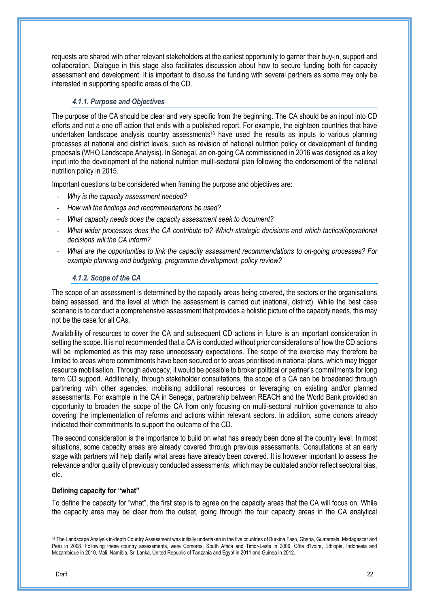requests are shared with other relevant stakeholders at the earliest opportunity to garner their buy-in, support and collaboration. Dialogue in this stage also facilitates discussion about how to secure funding both for capacity assessment and development. It is important to discuss the funding with several partners as some may only be interested in supporting specific areas of the CD.

#### *4.1.1. Purpose and Objectives*

The purpose of the CA should be clear and very specific from the beginning. The CA should be an input into CD efforts and not a one off action that ends with a published report. For example, the eighteen countries that have undertaken landscape analysis country assessments<sup>16</sup> have used the results as inputs to various planning processes at national and district levels, such as revision of national nutrition policy or development of funding proposals (WHO Landscape Analysis). In Senegal, an on-going CA commissioned in 2016 was designed as a key input into the development of the national nutrition multi-sectoral plan following the endorsement of the national nutrition policy in 2015.

Important questions to be considered when framing the purpose and objectives are:

- *Why is the capacity assessment needed?*
- *How will the findings and recommendations be used?*
- *What capacity needs does the capacity assessment seek to document?*
- *What wider processes does the CA contribute to? Which strategic decisions and which tactical/operational decisions will the CA inform?*
- *What are the opportunities to link the capacity assessment recommendations to on-going processes? For example planning and budgeting, programme development, policy review?*

#### *4.1.2. Scope of the CA*

The scope of an assessment is determined by the capacity areas being covered, the sectors or the organisations being assessed, and the level at which the assessment is carried out (national, district). While the best case scenario is to conduct a comprehensive assessment that provides a holistic picture of the capacity needs, this may not be the case for all CAs.

Availability of resources to cover the CA and subsequent CD actions in future is an important consideration in setting the scope. It is not recommended that a CA is conducted without prior considerations of how the CD actions will be implemented as this may raise unnecessary expectations. The scope of the exercise may therefore be limited to areas where commitments have been secured or to areas prioritised in national plans, which may trigger resource mobilisation. Through advocacy, it would be possible to broker political or partner's commitments for long term CD support. Additionally, through stakeholder consultations, the scope of a CA can be broadened through partnering with other agencies, mobilising additional resources or leveraging on existing and/or planned assessments. For example in the CA in Senegal, partnership between REACH and the World Bank provided an opportunity to broaden the scope of the CA from only focusing on multi-sectoral nutrition governance to also covering the implementation of reforms and actions within relevant sectors. In addition, some donors already indicated their commitments to support the outcome of the CD.

The second consideration is the importance to build on what has already been done at the country level. In most situations, some capacity areas are already covered through previous assessments. Consultations at an early stage with partners will help clarify what areas have already been covered. It is however important to assess the relevance and/or quality of previously conducted assessments, which may be outdated and/or reflect sectoral bias, etc.

#### **Defining capacity for "what"**

To define the capacity for "what", the first step is to agree on the capacity areas that the CA will focus on. While the capacity area may be clear from the outset, going through the four capacity areas in the CA analytical

 $\overline{a}$ 

<sup>16</sup> The Landscape Analysis in-depth Country Assessment was initially undertaken in the five countries of Burkina Faso, Ghana, Guatemala, Madagascar and Peru in 2008. Following these country assessments, were Comoros, South Africa and Timor-Leste in 2009, Côte d'Ivoire, Ethiopia, Indonesia and Mozambique in 2010, Mali, Namibia, Sri Lanka, United Republic of Tanzania and Egypt in 2011 and Guinea in 2012.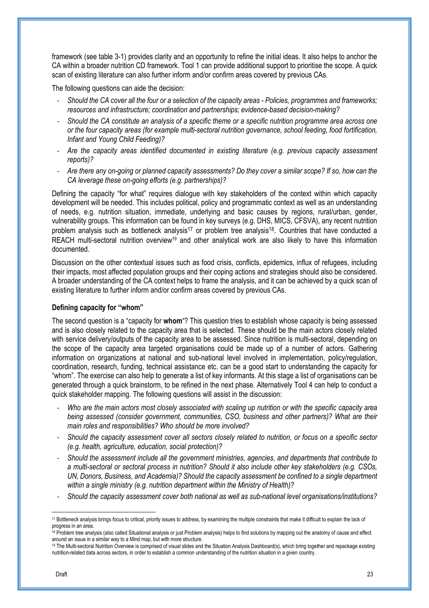framework (see table 3-1) provides clarity and an opportunity to refine the initial ideas. It also helps to anchor the CA within a broader nutrition CD framework. Tool 1 can provide additional support to prioritise the scope. A quick scan of existing literature can also further inform and/or confirm areas covered by previous CAs.

The following questions can aide the decision:

- *Should the CA cover all the four or a selection of the capacity areas Policies, programmes and frameworks; resources and infrastructure; coordination and partnerships; evidence-based decision-making?*
- *Should the CA constitute an analysis of a specific theme or a specific nutrition programme area across one or the four capacity areas (for example multi-sectoral nutrition governance, school feeding, food fortification, Infant and Young Child Feeding)?*
- *Are the capacity areas identified documented in existing literature (e.g. previous capacity assessment reports)?*
- *Are there any on-going or planned capacity assessments? Do they cover a similar scope? If so, how can the CA leverage these on-going efforts (e.g. partnerships)?*

Defining the capacity "for what" requires dialogue with key stakeholders of the context within which capacity development will be needed. This includes political, policy and programmatic context as well as an understanding of needs, e.g. nutrition situation, immediate, underlying and basic causes by regions, rural/urban, gender, vulnerability groups. This information can be found in key surveys (e.g. DHS, MICS, CFSVA), any recent nutrition problem analysis such as bottleneck analysis<sup>17</sup> or problem tree analysis<sup>18</sup>. Countries that have conducted a REACH multi-sectoral nutrition overview<sup>19</sup> and other analytical work are also likely to have this information documented.

Discussion on the other contextual issues such as food crisis, conflicts, epidemics, influx of refugees, including their impacts, most affected population groups and their coping actions and strategies should also be considered. A broader understanding of the CA context helps to frame the analysis, and it can be achieved by a quick scan of existing literature to further inform and/or confirm areas covered by previous CAs.

#### **Defining capacity for "whom"**

The second question is a "capacity for **whom**"? This question tries to establish whose capacity is being assessed and is also closely related to the capacity area that is selected. These should be the main actors closely related with service delivery/outputs of the capacity area to be assessed. Since nutrition is multi-sectoral, depending on the scope of the capacity area targeted organisations could be made up of a number of actors. Gathering information on organizations at national and sub-national level involved in implementation, policy/regulation, coordination, research, funding, technical assistance etc. can be a good start to understanding the capacity for "whom". The exercise can also help to generate a list of key informants. At this stage a list of organisations can be generated through a quick brainstorm, to be refined in the next phase. Alternatively Tool 4 can help to conduct a quick stakeholder mapping. The following questions will assist in the discussion:

- *Who are the main actors most closely associated with scaling up nutrition or with the specific capacity area being assessed (consider government, communities, CSO, business and other partners)? What are their main roles and responsibilities? Who should be more involved?*
- *Should the capacity assessment cover all sectors closely related to nutrition, or focus on a specific sector (e.g. health, agriculture, education, social protection)?*
- *Should the assessment include all the government ministries, agencies, and departments that contribute to a multi-sectoral or sectoral process in nutrition? Should it also include other key stakeholders (e.g. CSOs, UN, Donors, Business, and Academia)? Should the capacity assessment be confined to a single department within a single ministry (e.g. nutrition department within the Ministry of Health)?*
- *Should the capacity assessment cover both national as well as sub-national level organisations/institutions?*

<sup>&</sup>lt;sup>17</sup> Bottleneck analysis brings focus to critical, priority issues to address, by examining the multiple constraints that make it difficult to explain the lack of progress in an area.

<sup>&</sup>lt;sup>18</sup> Problem tree analysis (also called Situational analysis or just Problem analysis) helps to find solutions by mapping out the anatomy of cause and effect around an issue in a similar way to a Mind map, but with more structure.

<sup>&</sup>lt;sup>19</sup> The Multi-sectoral Nutrition Overview is comprised of visual slides and the Situation Analysis Dashboard(s), which bring together and repackage existing nutrition-related data across sectors, in order to establish a common understanding of the nutrition situation in a given country.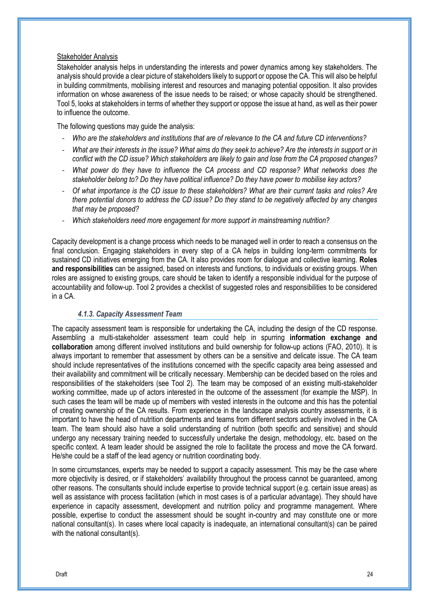#### Stakeholder Analysis

Stakeholder analysis helps in understanding the interests and power dynamics among key stakeholders. The analysis should provide a clear picture of stakeholders likely to support or oppose the CA. This will also be helpful in building commitments, mobilising interest and resources and managing potential opposition. It also provides information on whose awareness of the issue needs to be raised; or whose capacity should be strengthened. Tool 5, looks at stakeholders in terms of whether they support or oppose the issue at hand, as well as their power to influence the outcome.

The following questions may guide the analysis:

- *Who are the stakeholders and institutions that are of relevance to the CA and future CD interventions?*
- *What are their interests in the issue? What aims do they seek to achieve? Are the interests in support or in conflict with the CD issue? Which stakeholders are likely to gain and lose from the CA proposed changes?*
- *What power do they have to influence the CA process and CD response? What networks does the stakeholder belong to? Do they have political influence? Do they have power to mobilise key actors?*
- *Of what importance is the CD issue to these stakeholders? What are their current tasks and roles? Are there potential donors to address the CD issue? Do they stand to be negatively affected by any changes that may be proposed?*
- *Which stakeholders need more engagement for more support in mainstreaming nutrition?*

Capacity development is a change process which needs to be managed well in order to reach a consensus on the final conclusion. Engaging stakeholders in every step of a CA helps in building long-term commitments for sustained CD initiatives emerging from the CA. It also provides room for dialogue and collective learning. **Roles and responsibilities** can be assigned, based on interests and functions, to individuals or existing groups. When roles are assigned to existing groups, care should be taken to identify a responsible individual for the purpose of accountability and follow-up. Tool 2 provides a checklist of suggested roles and responsibilities to be considered in a CA.

#### *4.1.3. Capacity Assessment Team*

The capacity assessment team is responsible for undertaking the CA, including the design of the CD response. Assembling a multi-stakeholder assessment team could help in spurring **information exchange and collaboration** among different involved institutions and build ownership for follow-up actions (FAO, 2010). It is always important to remember that assessment by others can be a sensitive and delicate issue. The CA team should include representatives of the institutions concerned with the specific capacity area being assessed and their availability and commitment will be critically necessary. Membership can be decided based on the roles and responsibilities of the stakeholders (see Tool 2). The team may be composed of an existing multi-stakeholder working committee, made up of actors interested in the outcome of the assessment (for example the MSP). In such cases the team will be made up of members with vested interests in the outcome and this has the potential of creating ownership of the CA results. From experience in the landscape analysis country assessments, it is important to have the head of nutrition departments and teams from different sectors actively involved in the CA team. The team should also have a solid understanding of nutrition (both specific and sensitive) and should undergo any necessary training needed to successfully undertake the design, methodology, etc. based on the specific context. A team leader should be assigned the role to facilitate the process and move the CA forward. He/she could be a staff of the lead agency or nutrition coordinating body.

In some circumstances, experts may be needed to support a capacity assessment. This may be the case where more objectivity is desired, or if stakeholders' availability throughout the process cannot be guaranteed, among other reasons. The consultants should include expertise to provide technical support (e.g. certain issue areas) as well as assistance with process facilitation (which in most cases is of a particular advantage). They should have experience in capacity assessment, development and nutrition policy and programme management. Where possible, expertise to conduct the assessment should be sought in-country and may constitute one or more national consultant(s). In cases where local capacity is inadequate, an international consultant(s) can be paired with the national consultant(s).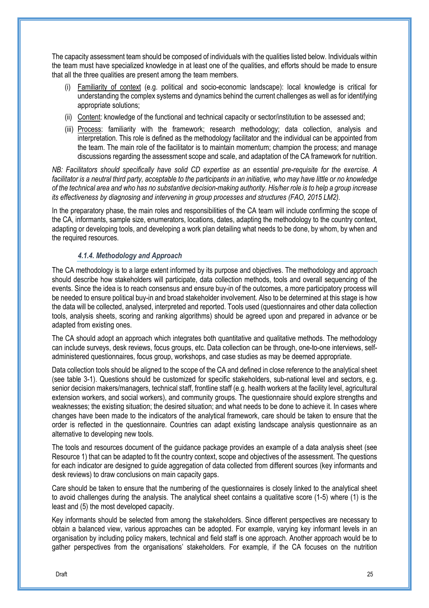The capacity assessment team should be composed of individuals with the qualities listed below. Individuals within the team must have specialized knowledge in at least one of the qualities, and efforts should be made to ensure that all the three qualities are present among the team members.

- (i) Familiarity of context (e.g. political and socio-economic landscape): local knowledge is critical for understanding the complex systems and dynamics behind the current challenges as well as for identifying appropriate solutions;
- (ii) Content: knowledge of the functional and technical capacity or sector/institution to be assessed and;
- (iii) Process: familiarity with the framework; research methodology; data collection, analysis and interpretation. This role is defined as the methodology facilitator and the individual can be appointed from the team. The main role of the facilitator is to maintain momentum; champion the process; and manage discussions regarding the assessment scope and scale, and adaptation of the CA framework for nutrition.

*NB: Facilitators should specifically have solid CD expertise as an essential pre-requisite for the exercise. A facilitator is a neutral third party, acceptable to the participants in an initiative, who may have little or no knowledge of the technical area and who has no substantive decision-making authority. His/her role is to help a group increase its effectiveness by diagnosing and intervening in group processes and structures (FAO, 2015 LM2).* 

In the preparatory phase, the main roles and responsibilities of the CA team will include confirming the scope of the CA, informants, sample size, enumerators, locations, dates, adapting the methodology to the country context, adapting or developing tools, and developing a work plan detailing what needs to be done, by whom, by when and the required resources.

#### *4.1.4. Methodology and Approach*

The CA methodology is to a large extent informed by its purpose and objectives. The methodology and approach should describe how stakeholders will participate, data collection methods, tools and overall sequencing of the events. Since the idea is to reach consensus and ensure buy-in of the outcomes, a more participatory process will be needed to ensure political buy-in and broad stakeholder involvement. Also to be determined at this stage is how the data will be collected, analysed, interpreted and reported. Tools used (questionnaires and other data collection tools, analysis sheets, scoring and ranking algorithms) should be agreed upon and prepared in advance or be adapted from existing ones.

The CA should adopt an approach which integrates both quantitative and qualitative methods. The methodology can include surveys, desk reviews, focus groups, etc. Data collection can be through, one-to-one interviews, selfadministered questionnaires, focus group, workshops, and case studies as may be deemed appropriate.

Data collection tools should be aligned to the scope of the CA and defined in close reference to the analytical sheet (see table 3-1). Questions should be customized for specific stakeholders, sub-national level and sectors, e.g. senior decision makers/managers, technical staff, frontline staff (e.g. health workers at the facility level, agricultural extension workers, and social workers), and community groups. The questionnaire should explore strengths and weaknesses; the existing situation; the desired situation; and what needs to be done to achieve it. In cases where changes have been made to the indicators of the analytical framework, care should be taken to ensure that the order is reflected in the questionnaire. Countries can adapt existing landscape analysis questionnaire as an alternative to developing new tools.

The tools and resources document of the guidance package provides an example of a data analysis sheet (see Resource 1) that can be adapted to fit the country context, scope and objectives of the assessment. The questions for each indicator are designed to guide aggregation of data collected from different sources (key informants and desk reviews) to draw conclusions on main capacity gaps.

Care should be taken to ensure that the numbering of the questionnaires is closely linked to the analytical sheet to avoid challenges during the analysis. The analytical sheet contains a qualitative score (1-5) where (1) is the least and (5) the most developed capacity.

Key informants should be selected from among the stakeholders. Since different perspectives are necessary to obtain a balanced view, various approaches can be adopted. For example, varying key informant levels in an organisation by including policy makers, technical and field staff is one approach. Another approach would be to gather perspectives from the organisations' stakeholders. For example, if the CA focuses on the nutrition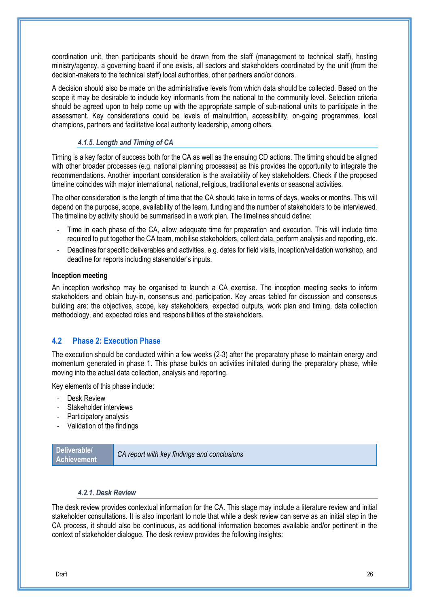coordination unit, then participants should be drawn from the staff (management to technical staff), hosting ministry/agency, a governing board if one exists, all sectors and stakeholders coordinated by the unit (from the decision-makers to the technical staff) local authorities, other partners and/or donors.

A decision should also be made on the administrative levels from which data should be collected. Based on the scope it may be desirable to include key informants from the national to the community level. Selection criteria should be agreed upon to help come up with the appropriate sample of sub-national units to participate in the assessment. Key considerations could be levels of malnutrition, accessibility, on-going programmes, local champions, partners and facilitative local authority leadership, among others.

#### *4.1.5. Length and Timing of CA*

Timing is a key factor of success both for the CA as well as the ensuing CD actions. The timing should be aligned with other broader processes (e.g. national planning processes) as this provides the opportunity to integrate the recommendations. Another important consideration is the availability of key stakeholders. Check if the proposed timeline coincides with major international, national, religious, traditional events or seasonal activities.

The other consideration is the length of time that the CA should take in terms of days, weeks or months. This will depend on the purpose, scope, availability of the team, funding and the number of stakeholders to be interviewed. The timeline by activity should be summarised in a work plan. The timelines should define:

- Time in each phase of the CA, allow adequate time for preparation and execution. This will include time required to put together the CA team, mobilise stakeholders, collect data, perform analysis and reporting, etc.
- Deadlines for specific deliverables and activities, e.g. dates for field visits, inception/validation workshop, and deadline for reports including stakeholder's inputs.

#### **Inception meeting**

An inception workshop may be organised to launch a CA exercise. The inception meeting seeks to inform stakeholders and obtain buy-in, consensus and participation. Key areas tabled for discussion and consensus building are: the objectives, scope, key stakeholders, expected outputs, work plan and timing, data collection methodology, and expected roles and responsibilities of the stakeholders.

#### **4.2 Phase 2: Execution Phase**

The execution should be conducted within a few weeks (2-3) after the preparatory phase to maintain energy and momentum generated in phase 1. This phase builds on activities initiated during the preparatory phase, while moving into the actual data collection, analysis and reporting.

Key elements of this phase include:

- Desk Review
- Stakeholder interviews
- Participatory analysis
- Validation of the findings

**Deliverable/**

**Achievement** *CA report with key findings and conclusions*

#### *4.2.1. Desk Review*

The desk review provides contextual information for the CA. This stage may include a literature review and initial stakeholder consultations. It is also important to note that while a desk review can serve as an initial step in the CA process, it should also be continuous, as additional information becomes available and/or pertinent in the context of stakeholder dialogue. The desk review provides the following insights: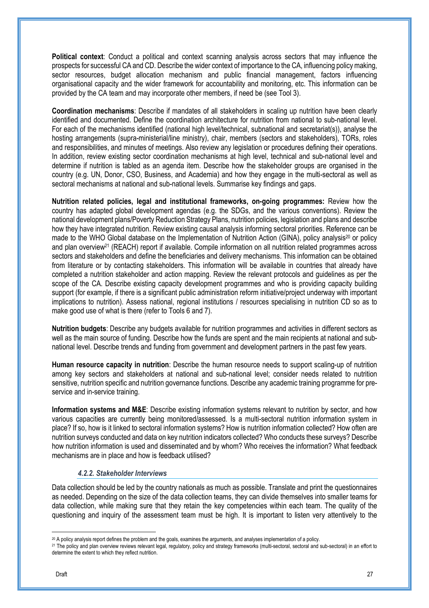**Political context**: Conduct a political and context scanning analysis across sectors that may influence the prospects for successful CA and CD. Describe the wider context of importance to the CA, influencing policy making, sector resources, budget allocation mechanism and public financial management, factors influencing organisational capacity and the wider framework for accountability and monitoring, etc. This information can be provided by the CA team and may incorporate other members, if need be (see Tool 3).

**Coordination mechanisms**: Describe if mandates of all stakeholders in scaling up nutrition have been clearly identified and documented. Define the coordination architecture for nutrition from national to sub-national level. For each of the mechanisms identified (national high level/technical, subnational and secretariat(s)), analyse the hosting arrangements (supra-ministerial/line ministry), chair, members (sectors and stakeholders), TORs, roles and responsibilities, and minutes of meetings. Also review any legislation or procedures defining their operations. In addition, review existing sector coordination mechanisms at high level, technical and sub-national level and determine if nutrition is tabled as an agenda item. Describe how the stakeholder groups are organised in the country (e.g. UN, Donor, CSO, Business, and Academia) and how they engage in the multi-sectoral as well as sectoral mechanisms at national and sub-national levels. Summarise key findings and gaps.

**Nutrition related policies, legal and institutional frameworks, on-going programmes:** Review how the country has adapted global development agendas (e.g. the SDGs, and the various conventions). Review the national development plans/Poverty Reduction Strategy Plans, nutrition policies, legislation and plans and describe how they have integrated nutrition. Review existing causal analysis informing sectoral priorities. Reference can be made to the WHO Global database on the Implementation of Nutrition Action (GINA), policy analysis<sup>20</sup> or policy and plan overview<sup>21</sup> (REACH) report if available. Compile information on all nutrition related programmes across sectors and stakeholders and define the beneficiaries and delivery mechanisms. This information can be obtained from literature or by contacting stakeholders. This information will be available in countries that already have completed a nutrition stakeholder and action mapping. Review the relevant protocols and guidelines as per the scope of the CA. Describe existing capacity development programmes and who is providing capacity building support (for example, if there is a significant public administration reform initiative/project underway with important implications to nutrition). Assess national, regional institutions / resources specialising in nutrition CD so as to make good use of what is there (refer to Tools 6 and 7).

**Nutrition budgets**: Describe any budgets available for nutrition programmes and activities in different sectors as well as the main source of funding. Describe how the funds are spent and the main recipients at national and subnational level. Describe trends and funding from government and development partners in the past few years.

**Human resource capacity in nutrition**: Describe the human resource needs to support scaling-up of nutrition among key sectors and stakeholders at national and sub-national level; consider needs related to nutrition sensitive, nutrition specific and nutrition governance functions. Describe any academic training programme for preservice and in-service training.

**Information systems and M&E**: Describe existing information systems relevant to nutrition by sector, and how various capacities are currently being monitored/assessed. Is a multi-sectoral nutrition information system in place? If so, how is it linked to sectoral information systems? How is nutrition information collected? How often are nutrition surveys conducted and data on key nutrition indicators collected? Who conducts these surveys? Describe how nutrition information is used and disseminated and by whom? Who receives the information? What feedback mechanisms are in place and how is feedback utilised?

#### *4.2.2. Stakeholder Interviews*

Data collection should be led by the country nationals as much as possible. Translate and print the questionnaires as needed. Depending on the size of the data collection teams, they can divide themselves into smaller teams for data collection, while making sure that they retain the key competencies within each team. The quality of the questioning and inquiry of the assessment team must be high. It is important to listen very attentively to the

 $\overline{a}$ 

<sup>20</sup> A policy analysis report defines the problem and the goals, examines the arguments, and analyses implementation of a policy.

<sup>&</sup>lt;sup>21</sup> The policy and plan overview reviews relevant legal, regulatory, policy and strategy frameworks (multi-sectoral, sectoral and sub-sectoral) in an effort to determine the extent to which they reflect nutrition.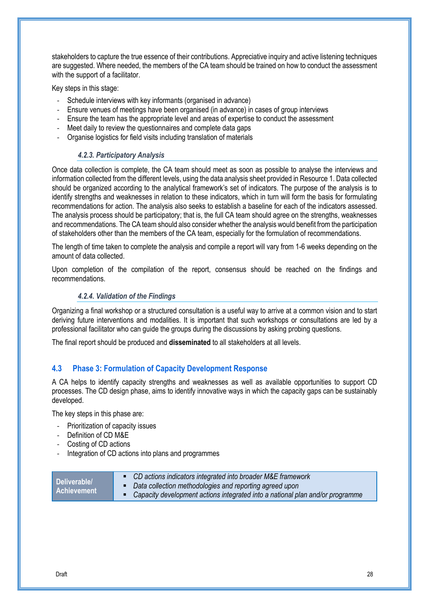stakeholders to capture the true essence of their contributions. Appreciative inquiry and active listening techniques are suggested. Where needed, the members of the CA team should be trained on how to conduct the assessment with the support of a facilitator.

Key steps in this stage:

- Schedule interviews with key informants (organised in advance)
- Ensure venues of meetings have been organised (in advance) in cases of group interviews
- Ensure the team has the appropriate level and areas of expertise to conduct the assessment
- Meet daily to review the questionnaires and complete data gaps
- Organise logistics for field visits including translation of materials

#### *4.2.3. Participatory Analysis*

Once data collection is complete, the CA team should meet as soon as possible to analyse the interviews and information collected from the different levels, using the data analysis sheet provided in Resource 1. Data collected should be organized according to the analytical framework's set of indicators. The purpose of the analysis is to identify strengths and weaknesses in relation to these indicators, which in turn will form the basis for formulating recommendations for action. The analysis also seeks to establish a baseline for each of the indicators assessed. The analysis process should be participatory; that is, the full CA team should agree on the strengths, weaknesses and recommendations. The CA team should also consider whether the analysis would benefit from the participation of stakeholders other than the members of the CA team, especially for the formulation of recommendations.

The length of time taken to complete the analysis and compile a report will vary from 1-6 weeks depending on the amount of data collected.

Upon completion of the compilation of the report, consensus should be reached on the findings and recommendations.

#### *4.2.4. Validation of the Findings*

Organizing a final workshop or a structured consultation is a useful way to arrive at a common vision and to start deriving future interventions and modalities. It is important that such workshops or consultations are led by a professional facilitator who can guide the groups during the discussions by asking probing questions.

The final report should be produced and **disseminated** to all stakeholders at all levels.

#### **4.3 Phase 3: Formulation of Capacity Development Response**

A CA helps to identify capacity strengths and weaknesses as well as available opportunities to support CD processes. The CD design phase, aims to identify innovative ways in which the capacity gaps can be sustainably developed.

The key steps in this phase are:

- Prioritization of capacity issues
- Definition of CD M&E
- Costing of CD actions
- Integration of CD actions into plans and programmes

|  | Deliverable/<br><b>Achievement</b> | • CD actions indicators integrated into broader M&E framework<br>• Data collection methodologies and reporting agreed upon<br>• Capacity development actions integrated into a national plan and/or programme |
|--|------------------------------------|---------------------------------------------------------------------------------------------------------------------------------------------------------------------------------------------------------------|
|--|------------------------------------|---------------------------------------------------------------------------------------------------------------------------------------------------------------------------------------------------------------|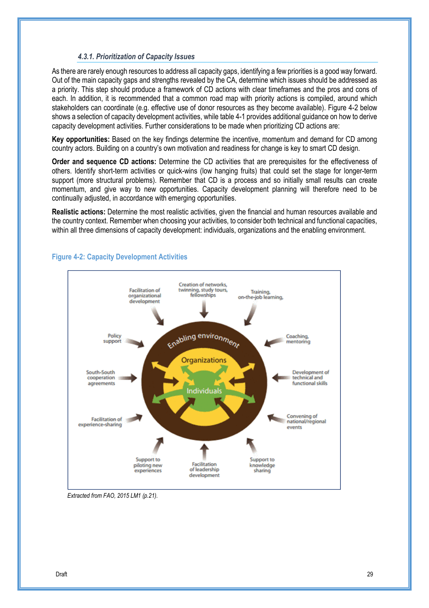#### *4.3.1. Prioritization of Capacity Issues*

As there are rarely enough resources to address all capacity gaps, identifying a few priorities is a good way forward. Out of the main capacity gaps and strengths revealed by the CA, determine which issues should be addressed as a priority. This step should produce a framework of CD actions with clear timeframes and the pros and cons of each. In addition, it is recommended that a common road map with priority actions is compiled, around which stakeholders can coordinate (e.g. effective use of donor resources as they become available). Figure 4-2 below shows a selection of capacity development activities, while table 4-1 provides additional guidance on how to derive capacity development activities. Further considerations to be made when prioritizing CD actions are:

**Key opportunities:** Based on the key findings determine the incentive, momentum and demand for CD among country actors. Building on a country's own motivation and readiness for change is key to smart CD design.

**Order and sequence CD actions:** Determine the CD activities that are prerequisites for the effectiveness of others. Identify short-term activities or quick-wins (low hanging fruits) that could set the stage for longer-term support (more structural problems). Remember that CD is a process and so initially small results can create momentum, and give way to new opportunities. Capacity development planning will therefore need to be continually adjusted, in accordance with emerging opportunities.

**Realistic actions:** Determine the most realistic activities, given the financial and human resources available and the country context. Remember when choosing your activities, to consider both technical and functional capacities, within all three dimensions of capacity development: individuals, organizations and the enabling environment.



#### **Figure 4-2: Capacity Development Activities**

*Extracted from FAO, 2015 LM1 (p.21).*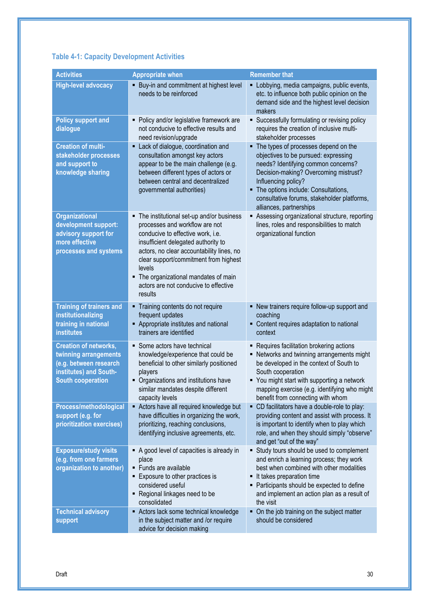## **Table 4-1: Capacity Development Activities**

| <b>Activities</b>                                                                                                                     | <b>Appropriate when</b>                                                                                                                                                                                                                                                                                                                                  | <b>Remember that</b>                                                                                                                                                                                                                                                                                     |
|---------------------------------------------------------------------------------------------------------------------------------------|----------------------------------------------------------------------------------------------------------------------------------------------------------------------------------------------------------------------------------------------------------------------------------------------------------------------------------------------------------|----------------------------------------------------------------------------------------------------------------------------------------------------------------------------------------------------------------------------------------------------------------------------------------------------------|
| <b>High-level advocacy</b>                                                                                                            | • Buy-in and commitment at highest level<br>needs to be reinforced                                                                                                                                                                                                                                                                                       | • Lobbying, media campaigns, public events,<br>etc. to influence both public opinion on the<br>demand side and the highest level decision<br>makers                                                                                                                                                      |
| <b>Policy support and</b><br>dialogue                                                                                                 | Policy and/or legislative framework are<br>٠<br>not conducive to effective results and<br>need revision/upgrade                                                                                                                                                                                                                                          | • Successfully formulating or revising policy<br>requires the creation of inclusive multi-<br>stakeholder processes                                                                                                                                                                                      |
| <b>Creation of multi-</b><br>stakeholder processes<br>and support to<br>knowledge sharing                                             | • Lack of dialogue, coordination and<br>consultation amongst key actors<br>appear to be the main challenge (e.g.<br>between different types of actors or<br>between central and decentralized<br>governmental authorities)                                                                                                                               | • The types of processes depend on the<br>objectives to be pursued: expressing<br>needs? Identifying common concerns?<br>Decision-making? Overcoming mistrust?<br>Influencing policy?<br>• The options include: Consultations,<br>consultative forums, stakeholder platforms,<br>alliances, partnerships |
| <b>Organizational</b><br>development support:<br>advisory support for<br>more effective<br>processes and systems                      | The institutional set-up and/or business<br>٠<br>processes and workflow are not<br>conducive to effective work, i.e.<br>insufficient delegated authority to<br>actors, no clear accountability lines, no<br>clear support/commitment from highest<br>levels<br>• The organizational mandates of main<br>actors are not conducive to effective<br>results | Assessing organizational structure, reporting<br>lines, roles and responsibilities to match<br>organizational function                                                                                                                                                                                   |
| <b>Training of trainers and</b><br>institutionalizing<br>training in national<br><b>institutes</b>                                    | Training contents do not require<br>п<br>frequent updates<br>Appropriate institutes and national<br>trainers are identified                                                                                                                                                                                                                              | • New trainers require follow-up support and<br>coaching<br>• Content requires adaptation to national<br>context                                                                                                                                                                                         |
| <b>Creation of networks,</b><br>twinning arrangements<br>(e.g. between research<br>institutes) and South-<br><b>South cooperation</b> | • Some actors have technical<br>knowledge/experience that could be<br>beneficial to other similarly positioned<br>players<br>• Organizations and institutions have<br>similar mandates despite different<br>capacity levels                                                                                                                              | • Requires facilitation brokering actions<br>• Networks and twinning arrangements might<br>be developed in the context of South to<br>South cooperation<br>• You might start with supporting a network<br>mapping exercise (e.g. identifying who might<br>benefit from connecting with whom              |
| Process/methodological<br>support (e.g. for<br>prioritization exercises)                                                              | Actors have all required knowledge but<br>٠<br>have difficulties in organizing the work,<br>prioritizing, reaching conclusions,<br>identifying inclusive agreements, etc.                                                                                                                                                                                | • CD facilitators have a double-role to play:<br>providing content and assist with process. It<br>is important to identify when to play which<br>role, and when they should simply "observe"<br>and get "out of the way"                                                                                 |
| <b>Exposure/study visits</b><br>(e.g. from one farmers<br>organization to another)                                                    | A good level of capacities is already in<br>place<br>· Funds are available<br>Exposure to other practices is<br>considered useful<br>• Regional linkages need to be<br>consolidated                                                                                                                                                                      | • Study tours should be used to complement<br>and enrich a learning process; they work<br>best when combined with other modalities<br>It takes preparation time<br>• Participants should be expected to define<br>and implement an action plan as a result of<br>the visit                               |
| <b>Technical advisory</b><br>support                                                                                                  | Actors lack some technical knowledge<br>in the subject matter and /or require<br>advice for decision making                                                                                                                                                                                                                                              | • On the job training on the subject matter<br>should be considered                                                                                                                                                                                                                                      |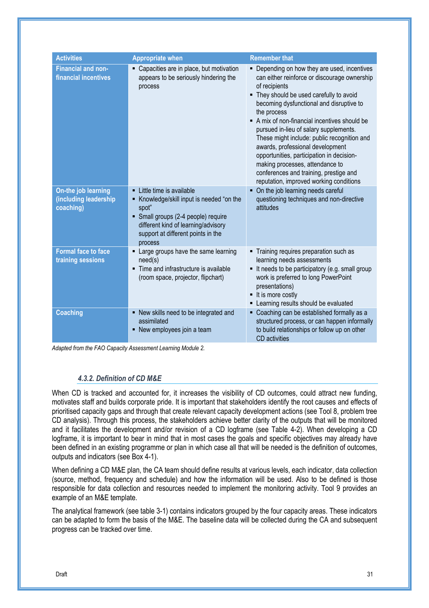| <b>Activities</b>                                         | <b>Appropriate when</b>                                                                                                                                                                                       | <b>Remember that</b>                                                                                                                                                                                                                                                                                                                                                                                                                                                                                                                                                  |
|-----------------------------------------------------------|---------------------------------------------------------------------------------------------------------------------------------------------------------------------------------------------------------------|-----------------------------------------------------------------------------------------------------------------------------------------------------------------------------------------------------------------------------------------------------------------------------------------------------------------------------------------------------------------------------------------------------------------------------------------------------------------------------------------------------------------------------------------------------------------------|
| <b>Financial and non-</b><br>financial incentives         | • Capacities are in place, but motivation<br>appears to be seriously hindering the<br>process                                                                                                                 | • Depending on how they are used, incentives<br>can either reinforce or discourage ownership<br>of recipients<br>• They should be used carefully to avoid<br>becoming dysfunctional and disruptive to<br>the process<br>A mix of non-financial incentives should be<br>pursued in-lieu of salary supplements.<br>These might include: public recognition and<br>awards, professional development<br>opportunities, participation in decision-<br>making processes, attendance to<br>conferences and training, prestige and<br>reputation, improved working conditions |
| On-the job learning<br>(including leadership<br>coaching) | • Little time is available<br>Knowledge/skill input is needed "on the<br>spot"<br>• Small groups (2-4 people) require<br>different kind of learning/advisory<br>support at different points in the<br>process | • On the job learning needs careful<br>questioning techniques and non-directive<br>attitudes                                                                                                                                                                                                                                                                                                                                                                                                                                                                          |
| <b>Formal face to face</b><br>training sessions           | Large groups have the same learning<br>need(s)<br>Time and infrastructure is available<br>(room space, projector, flipchart)                                                                                  | • Training requires preparation such as<br>learning needs assessments<br>It needs to be participatory (e.g. small group<br>work is preferred to long PowerPoint<br>presentations)<br>■ It is more costly<br>Learning results should be evaluated                                                                                                                                                                                                                                                                                                                      |
| <b>Coaching</b>                                           | • New skills need to be integrated and<br>assimilated<br>• New employees join a team                                                                                                                          | • Coaching can be established formally as a<br>structured process, or can happen informally<br>to build relationships or follow up on other<br>CD activities                                                                                                                                                                                                                                                                                                                                                                                                          |

*Adapted from the FAO Capacity Assessment Learning Module 2.* 

#### *4.3.2. Definition of CD M&E*

When CD is tracked and accounted for, it increases the visibility of CD outcomes, could attract new funding, motivates staff and builds corporate pride. It is important that stakeholders identify the root causes and effects of prioritised capacity gaps and through that create relevant capacity development actions (see Tool 8, problem tree CD analysis). Through this process, the stakeholders achieve better clarity of the outputs that will be monitored and it facilitates the development and/or revision of a CD logframe (see Table 4-2). When developing a CD logframe, it is important to bear in mind that in most cases the goals and specific objectives may already have been defined in an existing programme or plan in which case all that will be needed is the definition of outcomes, outputs and indicators (see Box 4-1).

When defining a CD M&E plan, the CA team should define results at various levels, each indicator, data collection (source, method, frequency and schedule) and how the information will be used. Also to be defined is those responsible for data collection and resources needed to implement the monitoring activity. Tool 9 provides an example of an M&E template.

The analytical framework (see table 3-1) contains indicators grouped by the four capacity areas. These indicators can be adapted to form the basis of the M&E. The baseline data will be collected during the CA and subsequent progress can be tracked over time.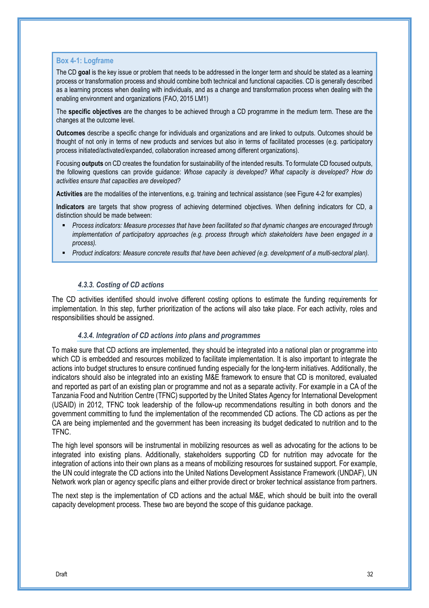#### **Box 4-1: Logframe**

The CD **goal** is the key issue or problem that needs to be addressed in the longer term and should be stated as a learning process or transformation process and should combine both technical and functional capacities. CD is generally described as a learning process when dealing with individuals, and as a change and transformation process when dealing with the enabling environment and organizations (FAO, 2015 LM1)

The **specific objectives** are the changes to be achieved through a CD programme in the medium term. These are the changes at the outcome level.

**Outcomes** describe a specific change for individuals and organizations and are linked to outputs. Outcomes should be thought of not only in terms of new products and services but also in terms of facilitated processes (e.g. participatory process initiated/activated/expanded, collaboration increased among different organizations).

Focusing **outputs** on CD creates the foundation for sustainability of the intended results. To formulate CD focused outputs, the following questions can provide guidance: *Whose capacity is developed? What capacity is developed? How do activities ensure that capacities are developed?*

**Activities** are the modalities of the interventions, e.g. training and technical assistance (see Figure 4-2 for examples)

**Indicators** are targets that show progress of achieving determined objectives. When defining indicators for CD, a distinction should be made between:

- *Process indicators: Measure processes that have been facilitated so that dynamic changes are encouraged through implementation of participatory approaches (e.g. process through which stakeholders have been engaged in a process).*
- *Product indicators: Measure concrete results that have been achieved (e.g. development of a multi-sectoral plan).*

#### *4.3.3. Costing of CD actions*

The CD activities identified should involve different costing options to estimate the funding requirements for implementation. In this step, further prioritization of the actions will also take place. For each activity, roles and responsibilities should be assigned.

#### *4.3.4. Integration of CD actions into plans and programmes*

To make sure that CD actions are implemented, they should be integrated into a national plan or programme into which CD is embedded and resources mobilized to facilitate implementation. It is also important to integrate the actions into budget structures to ensure continued funding especially for the long-term initiatives. Additionally, the indicators should also be integrated into an existing M&E framework to ensure that CD is monitored, evaluated and reported as part of an existing plan or programme and not as a separate activity. For example in a CA of the Tanzania Food and Nutrition Centre (TFNC) supported by the United States Agency for International Development (USAID) in 2012, TFNC took leadership of the follow-up recommendations resulting in both donors and the government committing to fund the implementation of the recommended CD actions. The CD actions as per the CA are being implemented and the government has been increasing its budget dedicated to nutrition and to the TFNC.

The high level sponsors will be instrumental in mobilizing resources as well as advocating for the actions to be integrated into existing plans. Additionally, stakeholders supporting CD for nutrition may advocate for the integration of actions into their own plans as a means of mobilizing resources for sustained support. For example, the UN could integrate the CD actions into the United Nations Development Assistance Framework (UNDAF), UN Network work plan or agency specific plans and either provide direct or broker technical assistance from partners.

The next step is the implementation of CD actions and the actual M&E, which should be built into the overall capacity development process. These two are beyond the scope of this guidance package.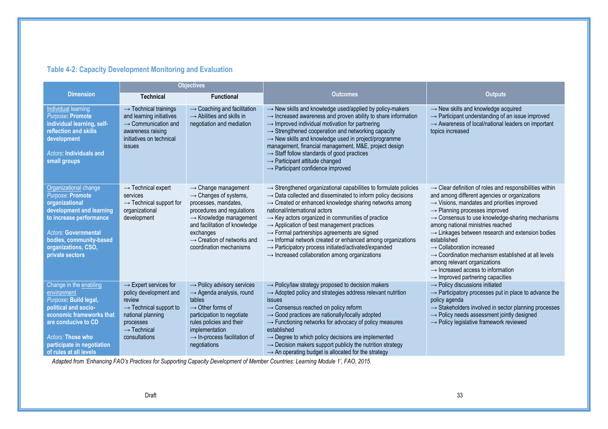#### **Table 4-2: Capacity Development Monitoring and Evaluation**

|                                                                                                                                                                                                                               | <b>Objectives</b>                                                                                                                                                                         |                                                                                                                                                                                                                                                                                     |                                                                                                                                                                                                                                                                                                                                                                                                                                                                                                                                                                                                                                                                  |                                                                                                                                                                                                                                                                                                                                                                                                                                                                                                                                                                                                                                                             |
|-------------------------------------------------------------------------------------------------------------------------------------------------------------------------------------------------------------------------------|-------------------------------------------------------------------------------------------------------------------------------------------------------------------------------------------|-------------------------------------------------------------------------------------------------------------------------------------------------------------------------------------------------------------------------------------------------------------------------------------|------------------------------------------------------------------------------------------------------------------------------------------------------------------------------------------------------------------------------------------------------------------------------------------------------------------------------------------------------------------------------------------------------------------------------------------------------------------------------------------------------------------------------------------------------------------------------------------------------------------------------------------------------------------|-------------------------------------------------------------------------------------------------------------------------------------------------------------------------------------------------------------------------------------------------------------------------------------------------------------------------------------------------------------------------------------------------------------------------------------------------------------------------------------------------------------------------------------------------------------------------------------------------------------------------------------------------------------|
| <b>Dimension</b>                                                                                                                                                                                                              | <b>Technical</b>                                                                                                                                                                          | <b>Functional</b>                                                                                                                                                                                                                                                                   | <b>Outcomes</b>                                                                                                                                                                                                                                                                                                                                                                                                                                                                                                                                                                                                                                                  | <b>Outputs</b>                                                                                                                                                                                                                                                                                                                                                                                                                                                                                                                                                                                                                                              |
| <b>Individual learning</b><br>Purpose: Promote<br>individual learning, self-<br>reflection and skills<br>development<br><b>Actors: Individuals and</b><br>small groups                                                        | $\rightarrow$ Technical trainings<br>and learning initiatives<br>$\rightarrow$ Communication and<br>awareness raising<br>initiatives on technical<br><b>issues</b>                        | $\rightarrow$ Coaching and facilitation<br>$\rightarrow$ Abilities and skills in<br>negotiation and mediation                                                                                                                                                                       | $\rightarrow$ New skills and knowledge used/applied by policy-makers<br>$\rightarrow$ Increased awareness and proven ability to share information<br>$\rightarrow$ Improved individual motivation for partnering<br>$\rightarrow$ Strengthened cooperation and networking capacity<br>$\rightarrow$ New skills and knowledge used in project/programme<br>management, financial management, M&E, project design<br>$\rightarrow$ Staff follow standards of good practices<br>$\rightarrow$ Participant attitude changed<br>$\rightarrow$ Participant confidence improved                                                                                         | $\rightarrow$ New skills and knowledge acquired<br>$\rightarrow$ Participant understanding of an issue improved<br>$\rightarrow$ Awareness of local/national leaders on important<br>topics increased                                                                                                                                                                                                                                                                                                                                                                                                                                                       |
| Organizational change<br>Purpose: Promote<br>organizational<br>development and learning<br>to increase performance<br><b>Actors: Governmental</b><br>bodies, community-based<br>organizations, CSO,<br>private sectors        | $\rightarrow$ Technical expert<br>services<br>$\rightarrow$ Technical support for<br>organizational<br>development                                                                        | $\rightarrow$ Change management<br>$\rightarrow$ Changes of systems,<br>processes, mandates,<br>procedures and regulations<br>$\rightarrow$ Knowledge management<br>and facilitation of knowledge<br>exchanges<br>$\rightarrow$ Creation of networks and<br>coordination mechanisms | $\rightarrow$ Strengthened organizational capabilities to formulate policies<br>$\rightarrow$ Data collected and disseminated to inform policy decisions<br>$\rightarrow$ Created or enhanced knowledge sharing networks among<br>national/international actors<br>$\rightarrow$ Key actors organized in communities of practice<br>$\rightarrow$ Application of best management practices<br>$\rightarrow$ Formal partnerships agreements are signed<br>$\rightarrow$ Informal network created or enhanced among organizations<br>$\rightarrow$ Participatory process initiated/activated/expanded<br>$\rightarrow$ Increased collaboration among organizations | $\rightarrow$ Clear definition of roles and responsibilities within<br>and among different agencies or organizations<br>$\rightarrow$ Visions, mandates and priorities improved<br>$\rightarrow$ Planning processes improved<br>$\rightarrow$ Consensus to use knowledge-sharing mechanisms<br>among national ministries reached<br>$\rightarrow$ Linkages between research and extension bodies<br>established<br>$\rightarrow$ Collaboration increased<br>$\rightarrow$ Coordination mechanism established at all levels<br>among relevant organizations<br>$\rightarrow$ Increased access to information<br>$\rightarrow$ Improved partnering capacities |
| Change in the enabling<br>environment<br>Purpose: Build legal,<br>political and socio-<br>economic frameworks that<br>are conducive to CD<br><b>Actors: Those who</b><br>participate in negotiation<br>of rules at all levels | $\rightarrow$ Expert services for<br>policy development and<br>review<br>$\rightarrow$ Technical support to<br>national planning<br>processes<br>$\rightarrow$ Technical<br>consultations | $\rightarrow$ Policy advisory services<br>$\rightarrow$ Agenda analysis, round<br>tables<br>$\rightarrow$ Other forms of<br>participation to negotiate<br>rules policies and their<br>implementation<br>$\rightarrow$ In-process facilitation of<br>negotiations                    | $\rightarrow$ Policy/law strategy proposed to decision makers<br>$\rightarrow$ Adopted policy and strategies address relevant nutrition<br>issues<br>$\rightarrow$ Consensus reached on policy reform<br>$\rightarrow$ Good practices are nationally/locally adopted<br>$\rightarrow$ Functioning networks for advocacy of policy measures<br>established<br>$\rightarrow$ Degree to which policy decisions are implemented<br>$\rightarrow$ Decision makers support publicly the nutrition strategy<br>$\rightarrow$ An operating budget is allocated for the strategy                                                                                          | $\rightarrow$ Policy discussions initiated<br>$\rightarrow$ Participatory processes put in place to advance the<br>policy agenda<br>$\rightarrow$ Stakeholders involved in sector planning processes<br>$\rightarrow$ Policy needs assessment jointly designed<br>$\rightarrow$ Policy legislative framework reviewed                                                                                                                                                                                                                                                                                                                                       |

*Adapted from 'Enhancing FAO's Practices for Supporting Capacity Development of Member Countries: Learning Module 1', FAO, 2015.*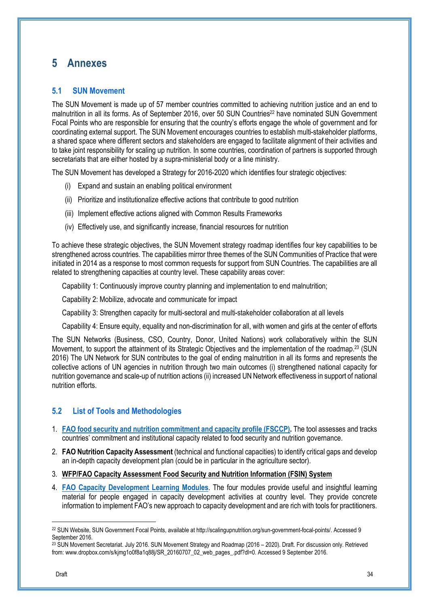## **5 Annexes**

#### **5.1 SUN Movement**

The SUN Movement is made up of 57 member countries committed to achieving nutrition justice and an end to malnutrition in all its forms. As of September 2016, over 50 SUN Countries<sup>22</sup> have nominated SUN Government Focal Points who are responsible for ensuring that the country's efforts engage the whole of government and for coordinating external support. The SUN Movement encourages countries to establish multi-stakeholder platforms, a shared space where different sectors and stakeholders are engaged to facilitate alignment of their activities and to take joint responsibility for scaling up nutrition. In some countries, coordination of partners is supported through secretariats that are either hosted by a supra-ministerial body or a line ministry.

The SUN Movement has developed a Strategy for 2016-2020 which identifies four strategic objectives:

- (i) Expand and sustain an enabling political environment
- (ii) Prioritize and institutionalize effective actions that contribute to good nutrition
- (iii) Implement effective actions aligned with Common Results Frameworks
- (iv) Effectively use, and significantly increase, financial resources for nutrition

To achieve these strategic objectives, the SUN Movement strategy roadmap identifies four key capabilities to be strengthened across countries. The capabilities mirror three themes of the SUN Communities of Practice that were initiated in 2014 as a response to most common requests for support from SUN Countries. The capabilities are all related to strengthening capacities at country level. These capability areas cover:

Capability 1: Continuously improve country planning and implementation to end malnutrition;

Capability 2: Mobilize, advocate and communicate for impact

Capability 3: Strengthen capacity for multi-sectoral and multi-stakeholder collaboration at all levels

Capability 4: Ensure equity, equality and non-discrimination for all, with women and girls at the center of efforts

The SUN Networks (Business, CSO, Country, Donor, United Nations) work collaboratively within the SUN Movement, to support the attainment of its Strategic Objectives and the implementation of the roadmap.<sup>23</sup> (SUN 2016) The UN Network for SUN contributes to the goal of ending malnutrition in all its forms and represents the collective actions of UN agencies in nutrition through two main outcomes (i) strengthened national capacity for nutrition governance and scale-up of nutrition actions (ii) increased UN Network effectiveness in support of national nutrition efforts.

#### **5.2 List of Tools and Methodologies**

- 1. **FAO food security and nutrition commitment and capacity profile (FSCCP).** The tool assesses and tracks countries' commitment and institutional capacity related to food security and nutrition governance.
- 2. **FAO Nutrition Capacity Assessment** (technical and functional capacities) to identify critical gaps and develop an in-depth capacity development plan (could be in particular in the agriculture sector).
- 3. **WFP/FAO Capacity Assessment Food Security and Nutrition Information (FSIN) System**
- 4. **FAO Capacity Development Learning Modules**. The four modules provide useful and insightful learning material for people engaged in capacity development activities at country level. They provide concrete information to implement FAO's new approach to capacity development and are rich with tools for practitioners.

<sup>22</sup> SUN Website, SUN Government Focal Points, available at http://scalingupnutrition.org/sun-government-focal-points/. Accessed 9 September 2016.

<sup>&</sup>lt;sup>23</sup> SUN Movement Secretariat. July 2016. SUN Movement Strategy and Roadmap (2016 – 2020). Draft. For discussion only. Retrieved from: www.dropbox.com/s/kjmg1o0f8a1q88j/SR\_20160707\_02\_web\_pages\_.pdf?dl=0. Accessed 9 September 2016.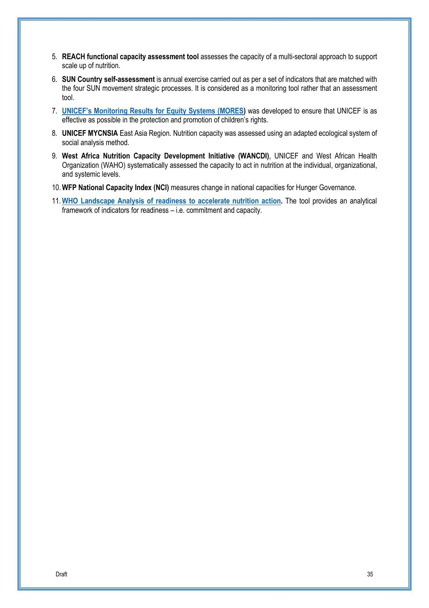- 5. **REACH functional capacity assessment tool** assesses the capacity of a multi-sectoral approach to support scale up of nutrition.
- 6. **SUN Country self-assessment** is annual exercise carried out as per a set of indicators that are matched with the four SUN movement strategic processes. It is considered as a monitoring tool rather that an assessment tool.
- 7. **UNICEF's Monitoring Results for Equity Systems (MORES)** was developed to ensure that UNICEF is as effective as possible in the protection and promotion of children's rights.
- 8. **UNICEF MYCNSIA** East Asia Region. Nutrition capacity was assessed using an adapted ecological system of social analysis method.
- 9. **West Africa Nutrition Capacity Development Initiative (WANCDI)**, UNICEF and West African Health Organization (WAHO) systematically assessed the capacity to act in nutrition at the individual, organizational, and systemic levels.
- 10.**WFP National Capacity Index (NCI)** measures change in national capacities for Hunger Governance.
- 11.**WHO Landscape Analysis of readiness to accelerate nutrition action.** The tool provides an analytical framework of indicators for readiness – i.e. commitment and capacity.